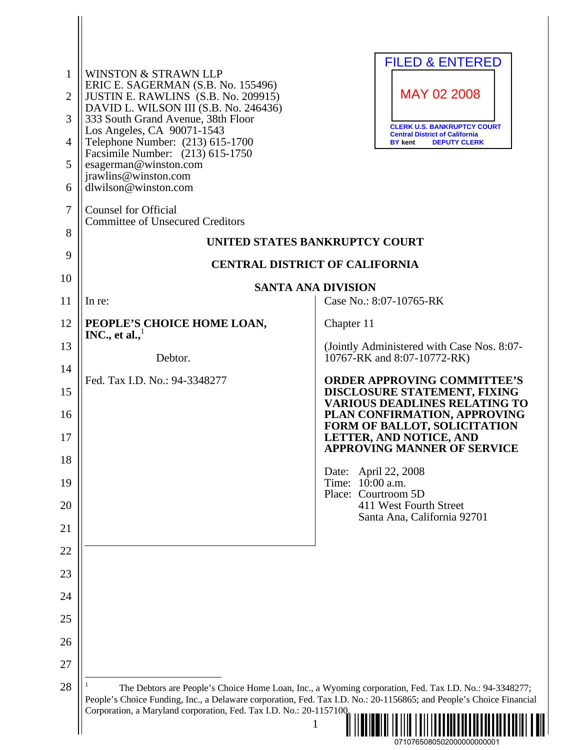| $\mathbf{1}$<br>$\overline{2}$<br>3<br>4<br>5<br>6<br>$\overline{7}$<br>8<br>9 | <b>WINSTON &amp; STRAWN LLP</b><br>ERIC E. SAGERMAN (S.B. No. 155496)<br>JUSTIN E. RAWLINS (S.B. No. 209915)<br>DAVID L. WILSON III (S.B. No. 246436)<br>333 South Grand Avenue, 38th Floor<br>Los Angeles, CA 90071-1543<br>Telephone Number: (213) 615-1700<br>Facsimile Number: (213) 615-1750<br>esagerman@winston.com<br>jrawlins@winston.com<br>dlwilson@winston.com<br><b>Counsel for Official</b><br><b>Committee of Unsecured Creditors</b> | <b>FILED &amp; ENTERED</b><br>MAY 02 2008<br><b>CLERK U.S. BANKRUPTCY COURT</b><br><b>Central District of California</b><br><b>BY</b> kent<br><b>DEPUTY CLERK</b><br>UNITED STATES BANKRUPTCY COURT |
|--------------------------------------------------------------------------------|------------------------------------------------------------------------------------------------------------------------------------------------------------------------------------------------------------------------------------------------------------------------------------------------------------------------------------------------------------------------------------------------------------------------------------------------------|-----------------------------------------------------------------------------------------------------------------------------------------------------------------------------------------------------|
| 10                                                                             |                                                                                                                                                                                                                                                                                                                                                                                                                                                      | <b>CENTRAL DISTRICT OF CALIFORNIA</b>                                                                                                                                                               |
| 11                                                                             | <b>SANTA ANA DIVISION</b><br>In re:                                                                                                                                                                                                                                                                                                                                                                                                                  | Case No.: 8:07-10765-RK                                                                                                                                                                             |
| 12                                                                             | PEOPLE'S CHOICE HOME LOAN,                                                                                                                                                                                                                                                                                                                                                                                                                           | Chapter 11                                                                                                                                                                                          |
| 13                                                                             | INC., et al., $^1$                                                                                                                                                                                                                                                                                                                                                                                                                                   | (Jointly Administered with Case Nos. 8:07-                                                                                                                                                          |
| 14                                                                             | Debtor.                                                                                                                                                                                                                                                                                                                                                                                                                                              | 10767-RK and 8:07-10772-RK)                                                                                                                                                                         |
| 15                                                                             | Fed. Tax I.D. No.: 94-3348277                                                                                                                                                                                                                                                                                                                                                                                                                        | <b>ORDER APPROVING COMMITTEE'S</b><br>DISCLOSURE STATEMENT, FIXING                                                                                                                                  |
| 16                                                                             |                                                                                                                                                                                                                                                                                                                                                                                                                                                      | <b>VARIOUS DEADLINES RELATING TO</b><br>PLAN CONFIRMATION, APPROVING<br>FORM OF BALLOT, SOLICITATION                                                                                                |
| 17                                                                             |                                                                                                                                                                                                                                                                                                                                                                                                                                                      | LETTER, AND NOTICE, AND<br><b>APPROVING MANNER OF SERVICE</b>                                                                                                                                       |
| 18                                                                             |                                                                                                                                                                                                                                                                                                                                                                                                                                                      | April 22, 2008<br>Date:                                                                                                                                                                             |
| 19                                                                             |                                                                                                                                                                                                                                                                                                                                                                                                                                                      | Time: 10:00 a.m.<br>Place: Courtroom 5D                                                                                                                                                             |
| 20                                                                             |                                                                                                                                                                                                                                                                                                                                                                                                                                                      | 411 West Fourth Street<br>Santa Ana, California 92701                                                                                                                                               |
| 21<br>22                                                                       |                                                                                                                                                                                                                                                                                                                                                                                                                                                      |                                                                                                                                                                                                     |
| 23                                                                             |                                                                                                                                                                                                                                                                                                                                                                                                                                                      |                                                                                                                                                                                                     |
| 24                                                                             |                                                                                                                                                                                                                                                                                                                                                                                                                                                      |                                                                                                                                                                                                     |
| 25                                                                             |                                                                                                                                                                                                                                                                                                                                                                                                                                                      |                                                                                                                                                                                                     |
| 26                                                                             |                                                                                                                                                                                                                                                                                                                                                                                                                                                      |                                                                                                                                                                                                     |
| 27                                                                             |                                                                                                                                                                                                                                                                                                                                                                                                                                                      |                                                                                                                                                                                                     |
| 28                                                                             | People's Choice Funding, Inc., a Delaware corporation, Fed. Tax I.D. No.: 20-1156865; and People's Choice Financial<br>Corporation, a Maryland corporation, Fed. Tax I.D. No.: 20-1157100.                                                                                                                                                                                                                                                           | The Debtors are People's Choice Home Loan, Inc., a Wyoming corporation, Fed. Tax I.D. No.: 94-3348277;<br>1                                                                                         |

| .07107650805020000000000001 |  |
|-----------------------------|--|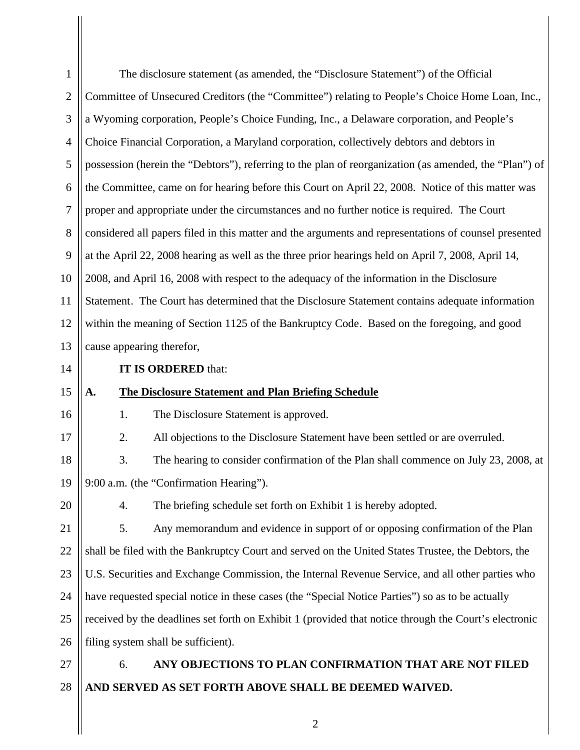| $\mathbf{1}$   |                           | The disclosure statement (as amended, the "Disclosure Statement") of the Official                      |
|----------------|---------------------------|--------------------------------------------------------------------------------------------------------|
| $\overline{2}$ |                           | Committee of Unsecured Creditors (the "Committee") relating to People's Choice Home Loan, Inc.,        |
| 3              |                           | a Wyoming corporation, People's Choice Funding, Inc., a Delaware corporation, and People's             |
| $\overline{4}$ |                           | Choice Financial Corporation, a Maryland corporation, collectively debtors and debtors in              |
| 5              |                           | possession (herein the "Debtors"), referring to the plan of reorganization (as amended, the "Plan") of |
| 6              |                           | the Committee, came on for hearing before this Court on April 22, 2008. Notice of this matter was      |
| $\overline{7}$ |                           | proper and appropriate under the circumstances and no further notice is required. The Court            |
| 8              |                           | considered all papers filed in this matter and the arguments and representations of counsel presented  |
| 9              |                           | at the April 22, 2008 hearing as well as the three prior hearings held on April 7, 2008, April 14,     |
| 10             |                           | 2008, and April 16, 2008 with respect to the adequacy of the information in the Disclosure             |
| 11             |                           | Statement. The Court has determined that the Disclosure Statement contains adequate information        |
| 12             |                           | within the meaning of Section 1125 of the Bankruptcy Code. Based on the foregoing, and good            |
| 13             | cause appearing therefor, |                                                                                                        |
| 14             |                           | IT IS ORDERED that:                                                                                    |
|                |                           |                                                                                                        |
| 15             | A.                        | <b>The Disclosure Statement and Plan Briefing Schedule</b>                                             |
| 16             | 1.                        | The Disclosure Statement is approved.                                                                  |
| 17             | 2.                        | All objections to the Disclosure Statement have been settled or are overruled.                         |
| 18             | 3.                        | The hearing to consider confirmation of the Plan shall commence on July 23, 2008, at                   |
| 19             |                           | 9:00 a.m. (the "Confirmation Hearing").                                                                |
| 20             | 4.                        | The briefing schedule set forth on Exhibit 1 is hereby adopted.                                        |
| 21             | 5.                        | Any memorandum and evidence in support of or opposing confirmation of the Plan                         |
| 22             |                           | shall be filed with the Bankruptcy Court and served on the United States Trustee, the Debtors, the     |
| 23             |                           | U.S. Securities and Exchange Commission, the Internal Revenue Service, and all other parties who       |
| 24             |                           | have requested special notice in these cases (the "Special Notice Parties") so as to be actually       |
| 25             |                           | received by the deadlines set forth on Exhibit 1 (provided that notice through the Court's electronic  |
| 26             |                           | filing system shall be sufficient).                                                                    |
| 27             | 6.                        | ANY OBJECTIONS TO PLAN CONFIRMATION THAT ARE NOT FILED                                                 |

 $\mathop{\rm II}\nolimits$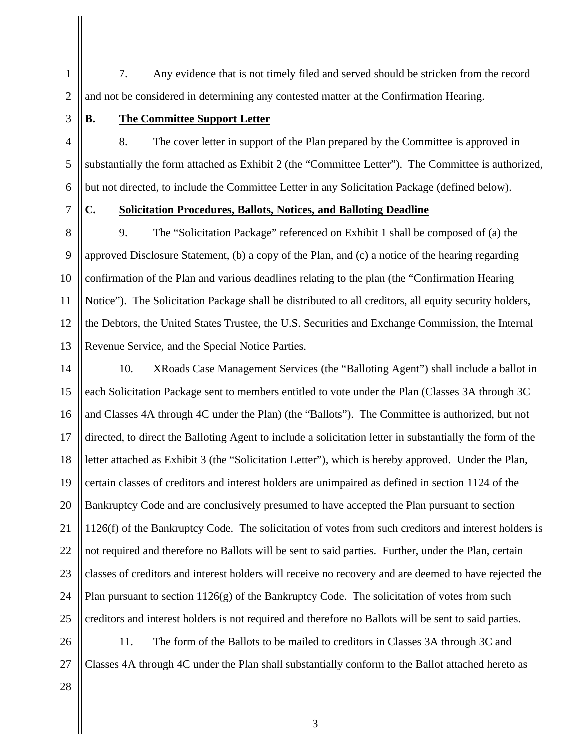7. Any evidence that is not timely filed and served should be stricken from the record and not be considered in determining any contested matter at the Confirmation Hearing.

3

4

5

6

7

1

2

## **B. The Committee Support Letter**

8. The cover letter in support of the Plan prepared by the Committee is approved in substantially the form attached as Exhibit 2 (the "Committee Letter"). The Committee is authorized, but not directed, to include the Committee Letter in any Solicitation Package (defined below).

## **C. Solicitation Procedures, Ballots, Notices, and Balloting Deadline**

8 9 10 11 12 13 9. The "Solicitation Package" referenced on Exhibit 1 shall be composed of (a) the approved Disclosure Statement, (b) a copy of the Plan, and (c) a notice of the hearing regarding confirmation of the Plan and various deadlines relating to the plan (the "Confirmation Hearing Notice"). The Solicitation Package shall be distributed to all creditors, all equity security holders, the Debtors, the United States Trustee, the U.S. Securities and Exchange Commission, the Internal Revenue Service, and the Special Notice Parties.

14 15 16 17 18 19 20 21 22 23 24 25 10. XRoads Case Management Services (the "Balloting Agent") shall include a ballot in each Solicitation Package sent to members entitled to vote under the Plan (Classes 3A through 3C and Classes 4A through 4C under the Plan) (the "Ballots"). The Committee is authorized, but not directed, to direct the Balloting Agent to include a solicitation letter in substantially the form of the letter attached as Exhibit 3 (the "Solicitation Letter"), which is hereby approved. Under the Plan, certain classes of creditors and interest holders are unimpaired as defined in section 1124 of the Bankruptcy Code and are conclusively presumed to have accepted the Plan pursuant to section 1126(f) of the Bankruptcy Code. The solicitation of votes from such creditors and interest holders is not required and therefore no Ballots will be sent to said parties. Further, under the Plan, certain classes of creditors and interest holders will receive no recovery and are deemed to have rejected the Plan pursuant to section  $1126(g)$  of the Bankruptcy Code. The solicitation of votes from such creditors and interest holders is not required and therefore no Ballots will be sent to said parties.

26 27 11. The form of the Ballots to be mailed to creditors in Classes 3A through 3C and Classes 4A through 4C under the Plan shall substantially conform to the Ballot attached hereto as

28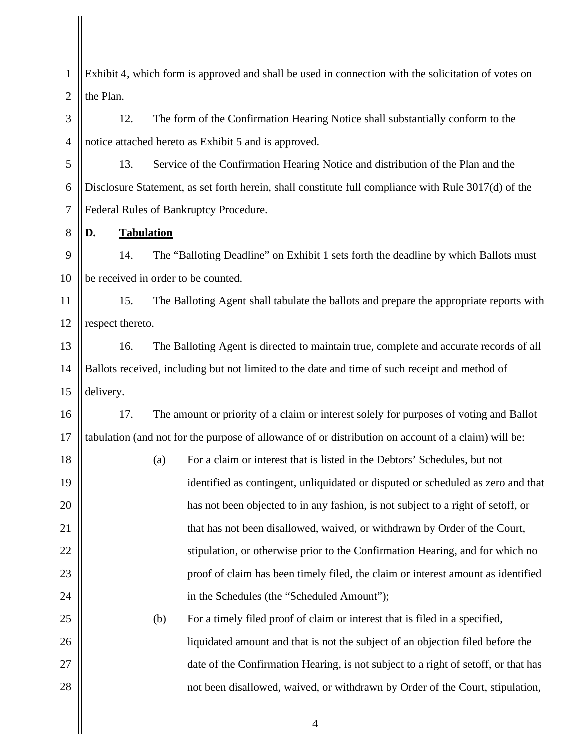1 2 Exhibit 4, which form is approved and shall be used in connection with the solicitation of votes on the Plan.

12. The form of the Confirmation Hearing Notice shall substantially conform to the notice attached hereto as Exhibit 5 and is approved.

5 6 7 13. Service of the Confirmation Hearing Notice and distribution of the Plan and the Disclosure Statement, as set forth herein, shall constitute full compliance with Rule 3017(d) of the Federal Rules of Bankruptcy Procedure.

## **D. Tabulation**

3

4

8

25

26

27

28

9 10 14. The "Balloting Deadline" on Exhibit 1 sets forth the deadline by which Ballots must be received in order to be counted.

11 12 15. The Balloting Agent shall tabulate the ballots and prepare the appropriate reports with respect thereto.

13 14 15 16. The Balloting Agent is directed to maintain true, complete and accurate records of all Ballots received, including but not limited to the date and time of such receipt and method of delivery.

16 17 17. The amount or priority of a claim or interest solely for purposes of voting and Ballot tabulation (and not for the purpose of allowance of or distribution on account of a claim) will be:

18 19 20 21 22 23 24 (a) For a claim or interest that is listed in the Debtors' Schedules, but not identified as contingent, unliquidated or disputed or scheduled as zero and that has not been objected to in any fashion, is not subject to a right of setoff, or that has not been disallowed, waived, or withdrawn by Order of the Court, stipulation, or otherwise prior to the Confirmation Hearing, and for which no proof of claim has been timely filed, the claim or interest amount as identified in the Schedules (the "Scheduled Amount");

> (b) For a timely filed proof of claim or interest that is filed in a specified, liquidated amount and that is not the subject of an objection filed before the date of the Confirmation Hearing, is not subject to a right of setoff, or that has not been disallowed, waived, or withdrawn by Order of the Court, stipulation,

> > 4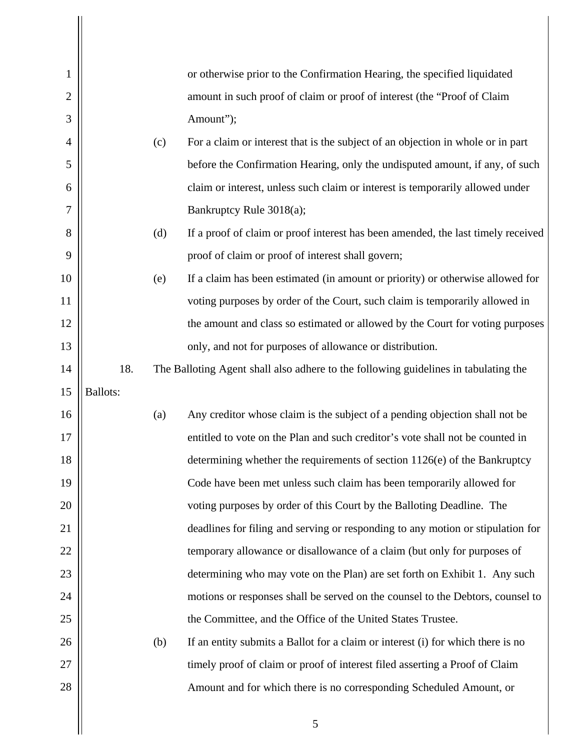| $\mathbf{1}$   |                 |     | or otherwise prior to the Confirmation Hearing, the specified liquidated            |
|----------------|-----------------|-----|-------------------------------------------------------------------------------------|
| $\overline{2}$ |                 |     | amount in such proof of claim or proof of interest (the "Proof of Claim             |
| 3              |                 |     | Amount");                                                                           |
| 4              |                 | (c) | For a claim or interest that is the subject of an objection in whole or in part     |
| 5              |                 |     | before the Confirmation Hearing, only the undisputed amount, if any, of such        |
| 6              |                 |     | claim or interest, unless such claim or interest is temporarily allowed under       |
| 7              |                 |     | Bankruptcy Rule 3018(a);                                                            |
| 8              |                 | (d) | If a proof of claim or proof interest has been amended, the last timely received    |
| 9              |                 |     | proof of claim or proof of interest shall govern;                                   |
| 10             |                 | (e) | If a claim has been estimated (in amount or priority) or otherwise allowed for      |
| 11             |                 |     | voting purposes by order of the Court, such claim is temporarily allowed in         |
| 12             |                 |     | the amount and class so estimated or allowed by the Court for voting purposes       |
| 13             |                 |     | only, and not for purposes of allowance or distribution.                            |
| 14             | 18.             |     | The Balloting Agent shall also adhere to the following guidelines in tabulating the |
| 15             | <b>Ballots:</b> |     |                                                                                     |
| 16             |                 | (a) | Any creditor whose claim is the subject of a pending objection shall not be         |
| 17             |                 |     | entitled to vote on the Plan and such creditor's vote shall not be counted in       |
| 18             |                 |     | determining whether the requirements of section 1126(e) of the Bankruptcy           |
| 19             |                 |     | Code have been met unless such claim has been temporarily allowed for               |
| 20             |                 |     | voting purposes by order of this Court by the Balloting Deadline. The               |
| 21             |                 |     | deadlines for filing and serving or responding to any motion or stipulation for     |
| 22             |                 |     | temporary allowance or disallowance of a claim (but only for purposes of            |
| 23             |                 |     | determining who may vote on the Plan) are set forth on Exhibit 1. Any such          |
| 24             |                 |     | motions or responses shall be served on the counsel to the Debtors, counsel to      |
| 25             |                 |     | the Committee, and the Office of the United States Trustee.                         |
| 26             |                 | (b) | If an entity submits a Ballot for a claim or interest (i) for which there is no     |
| 27             |                 |     | timely proof of claim or proof of interest filed asserting a Proof of Claim         |
| 28             |                 |     | Amount and for which there is no corresponding Scheduled Amount, or                 |
|                |                 |     | 5                                                                                   |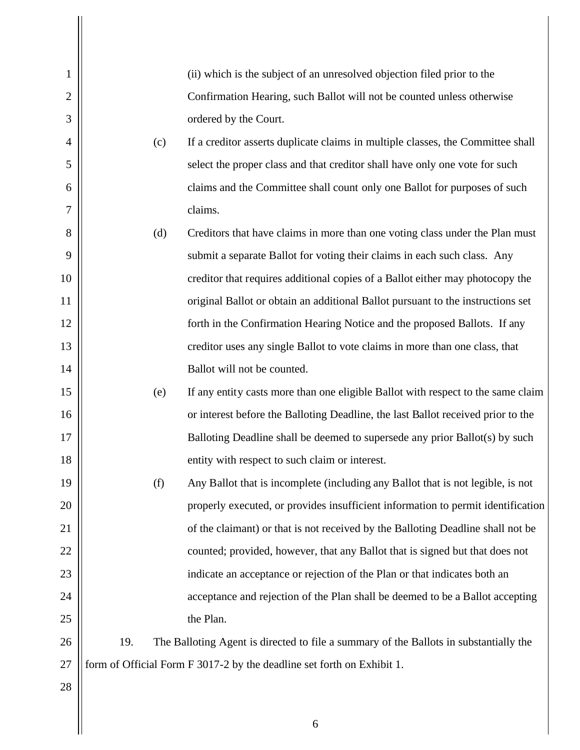| 1              |     | (ii) which is the subject of an unresolved objection filed prior to the               |
|----------------|-----|---------------------------------------------------------------------------------------|
| $\overline{c}$ |     | Confirmation Hearing, such Ballot will not be counted unless otherwise                |
| 3              |     | ordered by the Court.                                                                 |
| 4              | (c) | If a creditor asserts duplicate claims in multiple classes, the Committee shall       |
| 5              |     | select the proper class and that creditor shall have only one vote for such           |
| 6              |     | claims and the Committee shall count only one Ballot for purposes of such             |
| 7              |     | claims.                                                                               |
| 8              | (d) | Creditors that have claims in more than one voting class under the Plan must          |
| 9              |     | submit a separate Ballot for voting their claims in each such class. Any              |
| 10             |     | creditor that requires additional copies of a Ballot either may photocopy the         |
| 11             |     | original Ballot or obtain an additional Ballot pursuant to the instructions set       |
| 12             |     | forth in the Confirmation Hearing Notice and the proposed Ballots. If any             |
| 13             |     | creditor uses any single Ballot to vote claims in more than one class, that           |
| 14             |     | Ballot will not be counted.                                                           |
| 15             | (e) | If any entity casts more than one eligible Ballot with respect to the same claim      |
| 16             |     | or interest before the Balloting Deadline, the last Ballot received prior to the      |
| 17             |     | Balloting Deadline shall be deemed to supersede any prior Ballot(s) by such           |
| 18             |     | entity with respect to such claim or interest.                                        |
| 19             | (f) | Any Ballot that is incomplete (including any Ballot that is not legible, is not       |
| 20             |     | properly executed, or provides insufficient information to permit identification      |
| 21             |     | of the claimant) or that is not received by the Balloting Deadline shall not be       |
| 22             |     | counted; provided, however, that any Ballot that is signed but that does not          |
| 23             |     | indicate an acceptance or rejection of the Plan or that indicates both an             |
| 24             |     | acceptance and rejection of the Plan shall be deemed to be a Ballot accepting         |
| 25             |     | the Plan.                                                                             |
| 26             | 19. | The Balloting Agent is directed to file a summary of the Ballots in substantially the |
| 27             |     | form of Official Form F 3017-2 by the deadline set forth on Exhibit 1.                |
| 28             |     |                                                                                       |

 $\mathop{||}$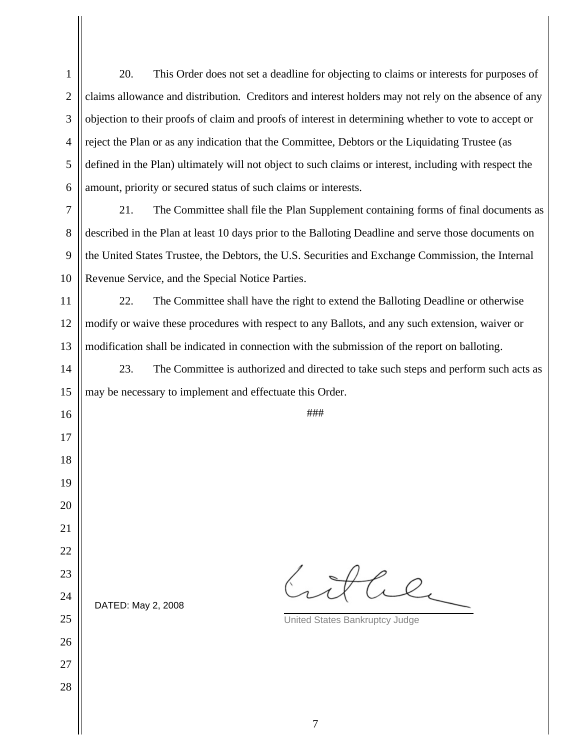20. This Order does not set a deadline for objecting to claims or interests for purposes of claims allowance and distribution. Creditors and interest holders may not rely on the absence of any objection to their proofs of claim and proofs of interest in determining whether to vote to accept or reject the Plan or as any indication that the Committee, Debtors or the Liquidating Trustee (as defined in the Plan) ultimately will not object to such claims or interest, including with respect the amount, priority or secured status of such claims or interests. 21. The Committee shall file the Plan Supplement containing forms of final documents as

 described in the Plan at least 10 days prior to the Balloting Deadline and serve those documents on the United States Trustee, the Debtors, the U.S. Securities and Exchange Commission, the Internal Revenue Service, and the Special Notice Parties.

22. The Committee shall have the right to extend the Balloting Deadline or otherwise modify or waive these procedures with respect to any Ballots, and any such extension, waiver or modification shall be indicated in connection with the submission of the report on balloting.

DATED: May 2, 2008

 23. The Committee is authorized and directed to take such steps and perform such acts as may be necessary to implement and effectuate this Order.

###

the

United States Bankruptcy Judge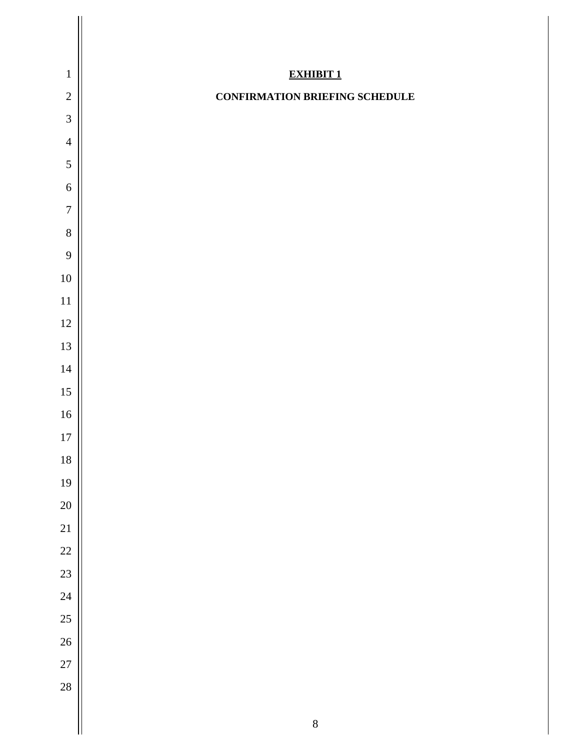| $\mathbf{1}$<br><b>EXHIBIT 1</b><br>$\sqrt{2}$<br><b>CONFIRMATION BRIEFING SCHEDULE</b><br>$\mathfrak{Z}$<br>$\overline{4}$<br>5<br>$\boldsymbol{6}$<br>$\overline{7}$<br>$8\,$<br>9<br>$10\,$<br>$11\,$<br>12<br>13<br>$14\,$<br>$15\,$<br>$16\,$<br>$17\,$<br>18<br>19<br>20<br>21<br>22<br>23<br>24<br>25<br>26<br>27<br>28 |         |
|--------------------------------------------------------------------------------------------------------------------------------------------------------------------------------------------------------------------------------------------------------------------------------------------------------------------------------|---------|
|                                                                                                                                                                                                                                                                                                                                |         |
|                                                                                                                                                                                                                                                                                                                                |         |
|                                                                                                                                                                                                                                                                                                                                |         |
|                                                                                                                                                                                                                                                                                                                                |         |
|                                                                                                                                                                                                                                                                                                                                |         |
|                                                                                                                                                                                                                                                                                                                                |         |
|                                                                                                                                                                                                                                                                                                                                |         |
|                                                                                                                                                                                                                                                                                                                                |         |
|                                                                                                                                                                                                                                                                                                                                |         |
|                                                                                                                                                                                                                                                                                                                                |         |
|                                                                                                                                                                                                                                                                                                                                |         |
|                                                                                                                                                                                                                                                                                                                                |         |
|                                                                                                                                                                                                                                                                                                                                |         |
|                                                                                                                                                                                                                                                                                                                                |         |
|                                                                                                                                                                                                                                                                                                                                |         |
|                                                                                                                                                                                                                                                                                                                                |         |
|                                                                                                                                                                                                                                                                                                                                |         |
|                                                                                                                                                                                                                                                                                                                                |         |
|                                                                                                                                                                                                                                                                                                                                |         |
|                                                                                                                                                                                                                                                                                                                                |         |
|                                                                                                                                                                                                                                                                                                                                |         |
|                                                                                                                                                                                                                                                                                                                                |         |
|                                                                                                                                                                                                                                                                                                                                |         |
|                                                                                                                                                                                                                                                                                                                                |         |
|                                                                                                                                                                                                                                                                                                                                |         |
|                                                                                                                                                                                                                                                                                                                                |         |
|                                                                                                                                                                                                                                                                                                                                |         |
|                                                                                                                                                                                                                                                                                                                                |         |
| П                                                                                                                                                                                                                                                                                                                              | $\,8\,$ |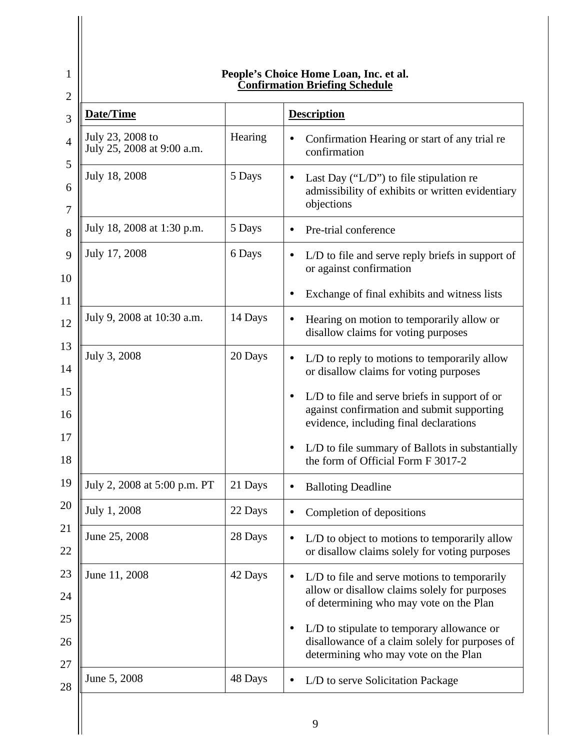| Date/Time                                      |         | <b>Description</b>                                                                                                                      |
|------------------------------------------------|---------|-----------------------------------------------------------------------------------------------------------------------------------------|
| July 23, 2008 to<br>July 25, 2008 at 9:00 a.m. | Hearing | Confirmation Hearing or start of any trial re<br>confirmation                                                                           |
| July 18, 2008                                  | 5 Days  | Last Day (" $L/D$ ") to file stipulation re<br>admissibility of exhibits or written evidentiary<br>objections                           |
| July 18, 2008 at 1:30 p.m.                     | 5 Days  | Pre-trial conference                                                                                                                    |
| July 17, 2008                                  | 6 Days  | L/D to file and serve reply briefs in support of<br>or against confirmation                                                             |
|                                                |         | Exchange of final exhibits and witness lists                                                                                            |
| July 9, 2008 at 10:30 a.m.                     | 14 Days | Hearing on motion to temporarily allow or<br>disallow claims for voting purposes                                                        |
| July 3, 2008                                   | 20 Days | L/D to reply to motions to temporarily allow<br>or disallow claims for voting purposes                                                  |
|                                                |         | L/D to file and serve briefs in support of or<br>against confirmation and submit supporting<br>evidence, including final declarations   |
|                                                |         | L/D to file summary of Ballots in substantially<br>$\bullet$<br>the form of Official Form F 3017-2                                      |
| July 2, 2008 at 5:00 p.m. PT                   | 21 Days | <b>Balloting Deadline</b>                                                                                                               |
| July 1, 2008                                   | 22 Days | Completion of depositions                                                                                                               |
| June 25, 2008                                  | 28 Days | L/D to object to motions to temporarily allow<br>or disallow claims solely for voting purposes                                          |
| June 11, 2008                                  | 42 Days | L/D to file and serve motions to temporarily<br>allow or disallow claims solely for purposes<br>of determining who may vote on the Plan |
|                                                |         | L/D to stipulate to temporary allowance or<br>disallowance of a claim solely for purposes of<br>determining who may vote on the Plan    |
| June 5, 2008                                   | 48 Days | L/D to serve Solicitation Package                                                                                                       |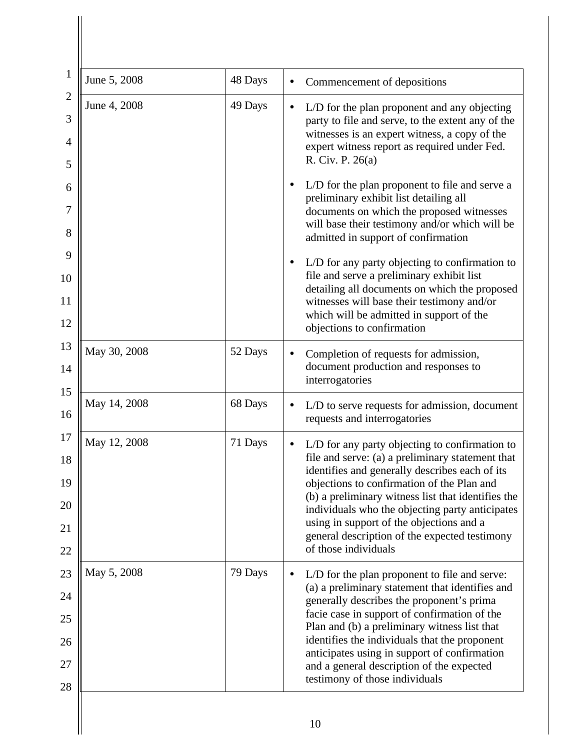| June 5, 2008 | 48 Days | Commencement of depositions                                                                                                                                                                                                                                                                                                                                                                                                      |
|--------------|---------|----------------------------------------------------------------------------------------------------------------------------------------------------------------------------------------------------------------------------------------------------------------------------------------------------------------------------------------------------------------------------------------------------------------------------------|
| June 4, 2008 | 49 Days | L/D for the plan proponent and any objecting<br>party to file and serve, to the extent any of the<br>witnesses is an expert witness, a copy of the<br>expert witness report as required under Fed.<br>R. Civ. P. 26(a)                                                                                                                                                                                                           |
|              |         | L/D for the plan proponent to file and serve a<br>preliminary exhibit list detailing all<br>documents on which the proposed witnesses<br>will base their testimony and/or which will be<br>admitted in support of confirmation                                                                                                                                                                                                   |
|              |         | L/D for any party objecting to confirmation to<br>file and serve a preliminary exhibit list<br>detailing all documents on which the proposed<br>witnesses will base their testimony and/or<br>which will be admitted in support of the<br>objections to confirmation                                                                                                                                                             |
| May 30, 2008 | 52 Days | Completion of requests for admission,<br>document production and responses to<br>interrogatories                                                                                                                                                                                                                                                                                                                                 |
| May 14, 2008 | 68 Days | L/D to serve requests for admission, document<br>requests and interrogatories                                                                                                                                                                                                                                                                                                                                                    |
| May 12, 2008 | 71 Days | L/D for any party objecting to confirmation to<br>file and serve: (a) a preliminary statement that<br>identifies and generally describes each of its<br>objections to confirmation of the Plan and<br>(b) a preliminary witness list that identifies the<br>individuals who the objecting party anticipates<br>using in support of the objections and a<br>general description of the expected testimony<br>of those individuals |
| May 5, 2008  | 79 Days | L/D for the plan proponent to file and serve:<br>(a) a preliminary statement that identifies and<br>generally describes the proponent's prima<br>facie case in support of confirmation of the<br>Plan and (b) a preliminary witness list that<br>identifies the individuals that the proponent<br>anticipates using in support of confirmation<br>and a general description of the expected<br>testimony of those individuals    |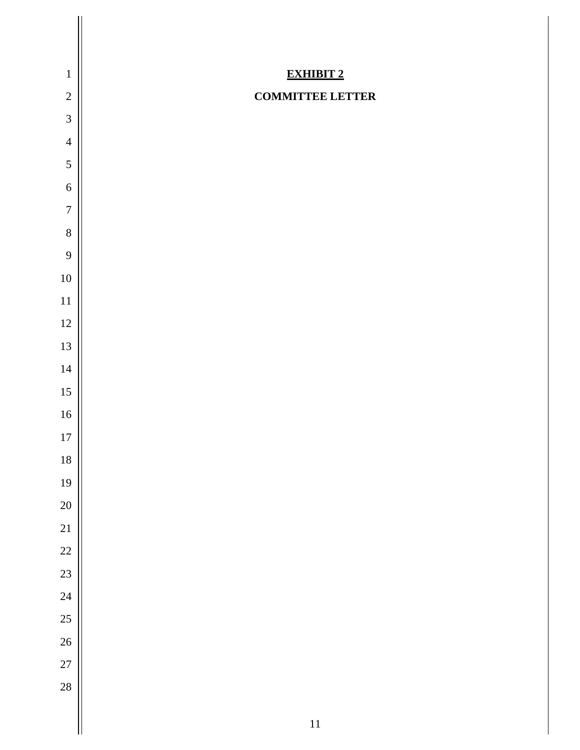| $\mathbf 1$         | <b>EXHIBIT 2</b>        |
|---------------------|-------------------------|
| $\sqrt{2}$          | <b>COMMITTEE LETTER</b> |
| $\mathfrak{Z}$      |                         |
| $\overline{4}$<br>5 |                         |
| 6                   |                         |
| $\boldsymbol{7}$    |                         |
| $\,8\,$             |                         |
| 9                   |                         |
| $10\,$              |                         |
| 11                  |                         |
| $12\,$              |                         |
| 13                  |                         |
| 14                  |                         |
| 15                  |                         |
| 16                  |                         |
| $17\,$              |                         |
| 18                  |                         |
| 19                  |                         |
| 20                  |                         |
| 21                  |                         |
| 22                  |                         |
| 23                  |                         |
| 24                  |                         |
| 25                  |                         |
| 26                  |                         |
| 27                  |                         |
| 28                  |                         |
|                     | $11\,$                  |
|                     |                         |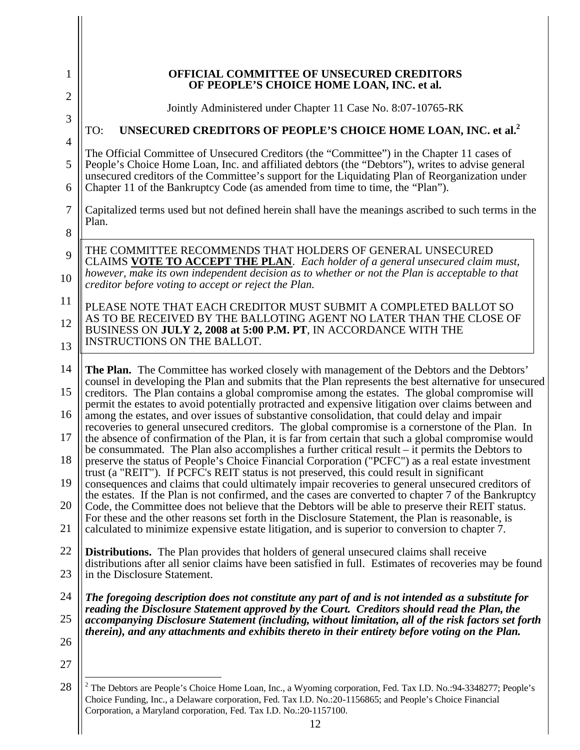| 1                   | <b>OFFICIAL COMMITTEE OF UNSECURED CREDITORS</b><br>OF PEOPLE'S CHOICE HOME LOAN, INC. et al.                                                                                                                                                                                                                  |
|---------------------|----------------------------------------------------------------------------------------------------------------------------------------------------------------------------------------------------------------------------------------------------------------------------------------------------------------|
| $\overline{2}$<br>3 | Jointly Administered under Chapter 11 Case No. 8:07-10765-RK                                                                                                                                                                                                                                                   |
|                     | UNSECURED CREDITORS OF PEOPLE'S CHOICE HOME LOAN, INC. et al. <sup>2</sup><br>TO:                                                                                                                                                                                                                              |
| $\overline{4}$<br>5 | The Official Committee of Unsecured Creditors (the "Committee") in the Chapter 11 cases of<br>People's Choice Home Loan, Inc. and affiliated debtors (the "Debtors"), writes to advise general                                                                                                                 |
| 6                   | unsecured creditors of the Committee's support for the Liquidating Plan of Reorganization under<br>Chapter 11 of the Bankruptcy Code (as amended from time to time, the "Plan").                                                                                                                               |
| 7<br>8              | Capitalized terms used but not defined herein shall have the meanings ascribed to such terms in the<br>Plan.                                                                                                                                                                                                   |
| 9                   | THE COMMITTEE RECOMMENDS THAT HOLDERS OF GENERAL UNSECURED                                                                                                                                                                                                                                                     |
| 10                  | CLAIMS VOTE TO ACCEPT THE PLAN. Each holder of a general unsecured claim must,<br>however, make its own independent decision as to whether or not the Plan is acceptable to that<br>creditor before voting to accept or reject the Plan.                                                                       |
| 11                  | PLEASE NOTE THAT EACH CREDITOR MUST SUBMIT A COMPLETED BALLOT SO                                                                                                                                                                                                                                               |
| 12                  | AS TO BE RECEIVED BY THE BALLOTING AGENT NO LATER THAN THE CLOSE OF<br>BUSINESS ON JULY 2, 2008 at 5:00 P.M. PT, IN ACCORDANCE WITH THE<br><b>INSTRUCTIONS ON THE BALLOT.</b>                                                                                                                                  |
| 13                  |                                                                                                                                                                                                                                                                                                                |
| 14                  | <b>The Plan.</b> The Committee has worked closely with management of the Debtors and the Debtors'<br>counsel in developing the Plan and submits that the Plan represents the best alternative for unsecured                                                                                                    |
| 15<br>16            | creditors. The Plan contains a global compromise among the estates. The global compromise will<br>permit the estates to avoid potentially protracted and expensive litigation over claims between and<br>among the estates, and over issues of substantive consolidation, that could delay and impair          |
| 17                  | recoveries to general unsecured creditors. The global compromise is a cornerstone of the Plan. In<br>the absence of confirmation of the Plan, it is far from certain that such a global compromise would<br>be consummated. The Plan also accomplishes a further critical result – it permits the Debtors to   |
| 18                  | preserve the status of People's Choice Financial Corporation ("PCFC") as a real estate investment<br>trust (a "REIT"). If PCFC's REIT status is not preserved, this could result in significant                                                                                                                |
| 19                  | consequences and claims that could ultimately impair recoveries to general unsecured creditors of<br>the estates. If the Plan is not confirmed, and the cases are converted to chapter 7 of the Bankruptcy                                                                                                     |
| 20                  | Code, the Committee does not believe that the Debtors will be able to preserve their REIT status.<br>For these and the other reasons set forth in the Disclosure Statement, the Plan is reasonable, is                                                                                                         |
| 21                  | calculated to minimize expensive estate litigation, and is superior to conversion to chapter 7.                                                                                                                                                                                                                |
| 22                  | <b>Distributions.</b> The Plan provides that holders of general unsecured claims shall receive<br>distributions after all senior claims have been satisfied in full. Estimates of recoveries may be found                                                                                                      |
| 23                  | in the Disclosure Statement.                                                                                                                                                                                                                                                                                   |
| 24                  | The foregoing description does not constitute any part of and is not intended as a substitute for<br>reading the Disclosure Statement approved by the Court. Creditors should read the Plan, the                                                                                                               |
| 25                  | accompanying Disclosure Statement (including, without limitation, all of the risk factors set forth<br>therein), and any attachments and exhibits thereto in their entirety before voting on the Plan.                                                                                                         |
| 26                  |                                                                                                                                                                                                                                                                                                                |
| 27                  |                                                                                                                                                                                                                                                                                                                |
| 28                  | <sup>2</sup> The Debtors are People's Choice Home Loan, Inc., a Wyoming corporation, Fed. Tax I.D. No.:94-3348277; People's<br>Choice Funding, Inc., a Delaware corporation, Fed. Tax I.D. No.:20-1156865; and People's Choice Financial<br>Corporation, a Maryland corporation, Fed. Tax I.D. No.:20-1157100. |

12

 $\mathbb{I}$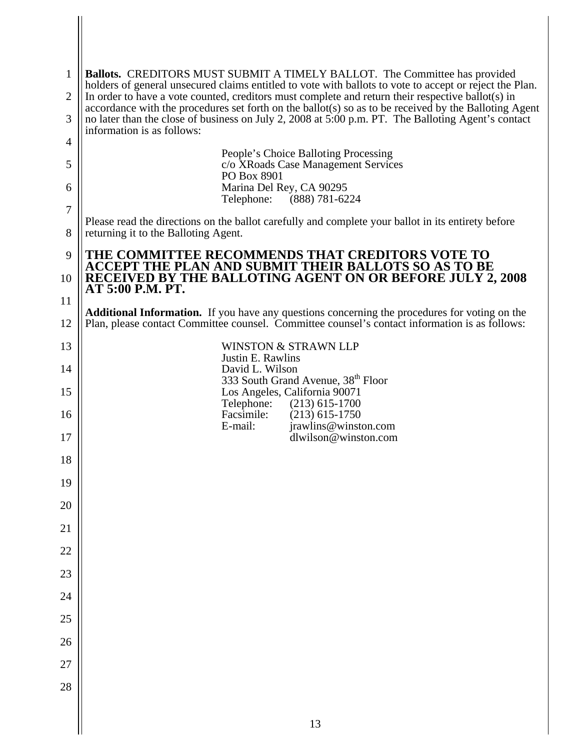| 1              | <b>Ballots.</b> CREDITORS MUST SUBMIT A TIMELY BALLOT. The Committee has provided                                                                                                                                                         |
|----------------|-------------------------------------------------------------------------------------------------------------------------------------------------------------------------------------------------------------------------------------------|
| $\overline{2}$ | holders of general unsecured claims entitled to vote with ballots to vote to accept or reject the Plan.<br>In order to have a vote counted, creditors must complete and return their respective ballot(s) in                              |
| 3              | accordance with the procedures set forth on the ballot(s) so as to be received by the Balloting Agent<br>no later than the close of business on July 2, 2008 at 5:00 p.m. PT. The Balloting Agent's contact<br>information is as follows: |
| 4              |                                                                                                                                                                                                                                           |
| 5              | People's Choice Balloting Processing<br>c/o XRoads Case Management Services<br>PO Box 8901                                                                                                                                                |
| 6              | Marina Del Rey, CA 90295<br>Telephone: (888) 781-6224                                                                                                                                                                                     |
| $\overline{7}$ | Please read the directions on the ballot carefully and complete your ballot in its entirety before                                                                                                                                        |
| 8              | returning it to the Balloting Agent.                                                                                                                                                                                                      |
| 9              | THE COMMITTEE RECOMMENDS THAT CREDITORS VOTE TO<br>ACCEPT THE PLAN AND SUBMIT THEIR BALLOTS SO AS TO BE<br>RECEIVED BY THE BALLOTING AGENT ON OR BEFORE JULY 2, 2008                                                                      |
| 10             | AT 5:00 P.M. PT.                                                                                                                                                                                                                          |
| 11<br>12       | <b>Additional Information.</b> If you have any questions concerning the procedures for voting on the<br>Plan, please contact Committee counsel. Committee counsel's contact information is as follows:                                    |
| 13             | <b>WINSTON &amp; STRAWN LLP</b>                                                                                                                                                                                                           |
| 14             | Justin E. Rawlins<br>David L. Wilson                                                                                                                                                                                                      |
| 15             | 333 South Grand Avenue, 38 <sup>th</sup> Floor<br>Los Angeles, California 90071<br>Telephone:<br>$(213)$ 615-1700                                                                                                                         |
| 16             | Facsimile:<br>$(213)$ 615-1750<br>E-mail:<br>jrawlins@winston.com                                                                                                                                                                         |
| 17             | dlwilson@winston.com                                                                                                                                                                                                                      |
| 18             |                                                                                                                                                                                                                                           |
| 19             |                                                                                                                                                                                                                                           |
| 20             |                                                                                                                                                                                                                                           |
| 21             |                                                                                                                                                                                                                                           |
| $22\,$         |                                                                                                                                                                                                                                           |
| 23             |                                                                                                                                                                                                                                           |
| 24             |                                                                                                                                                                                                                                           |
| $25\,$         |                                                                                                                                                                                                                                           |
| 26<br>27       |                                                                                                                                                                                                                                           |
| 28             |                                                                                                                                                                                                                                           |
|                |                                                                                                                                                                                                                                           |
|                | 13                                                                                                                                                                                                                                        |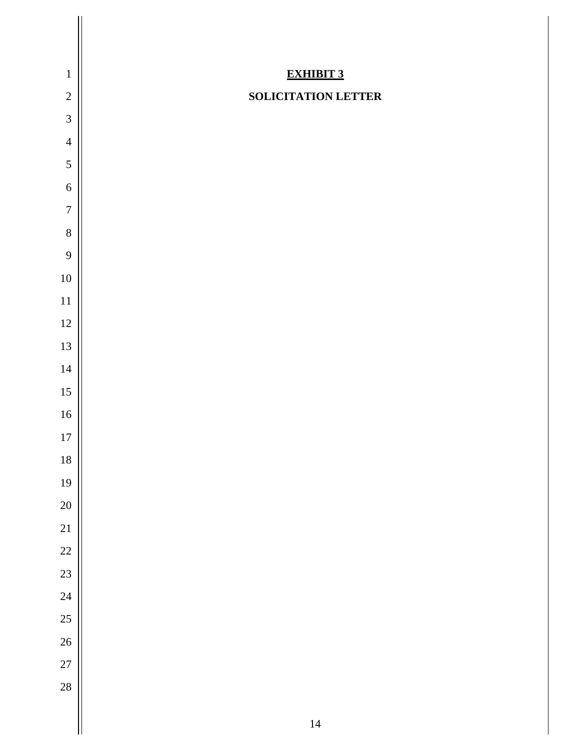| $\mathbf 1$<br>$\overline{2}$ | <b>EXHIBIT 3</b><br><b>SOLICITATION LETTER</b> |
|-------------------------------|------------------------------------------------|
| $\mathfrak{Z}$                |                                                |
| $\overline{4}$                |                                                |
| 5                             |                                                |
| 6                             |                                                |
| $\boldsymbol{7}$              |                                                |
| $\,8\,$                       |                                                |
| 9                             |                                                |
| $10\,$                        |                                                |
| 11                            |                                                |
| $12\,$                        |                                                |
| 13                            |                                                |
| 14                            |                                                |
| 15                            |                                                |
| 16                            |                                                |
| $17\,$                        |                                                |
| 18                            |                                                |
| 19                            |                                                |
| 20                            |                                                |
| 21                            |                                                |
| 22                            |                                                |
| 23                            |                                                |
| 24                            |                                                |
| 25                            |                                                |
| 26                            |                                                |
| 27                            |                                                |
| 28                            |                                                |
|                               | 14                                             |
|                               |                                                |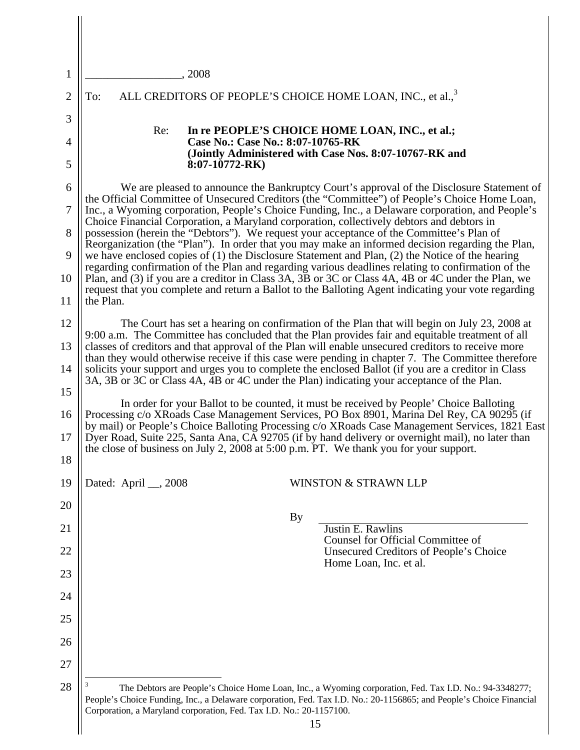| 1              | 2008                                                                                                                                                                                                                                                                                                 |  |
|----------------|------------------------------------------------------------------------------------------------------------------------------------------------------------------------------------------------------------------------------------------------------------------------------------------------------|--|
| $\overline{2}$ | ALL CREDITORS OF PEOPLE'S CHOICE HOME LOAN, INC., et al., <sup>3</sup><br>To:                                                                                                                                                                                                                        |  |
| 3              |                                                                                                                                                                                                                                                                                                      |  |
| 4              | In re PEOPLE'S CHOICE HOME LOAN, INC., et al.;<br>Re:<br>Case No.: Case No.: 8:07-10765-RK                                                                                                                                                                                                           |  |
| 5              | (Jointly Administered with Case Nos. 8:07-10767-RK and<br>$8:07-10772-RK$                                                                                                                                                                                                                            |  |
| 6              | We are pleased to announce the Bankruptcy Court's approval of the Disclosure Statement of                                                                                                                                                                                                            |  |
| 7              | the Official Committee of Unsecured Creditors (the "Committee") of People's Choice Home Loan,<br>Inc., a Wyoming corporation, People's Choice Funding, Inc., a Delaware corporation, and People's<br>Choice Financial Corporation, a Maryland corporation, collectively debtors and debtors in       |  |
| 8              | possession (herein the "Debtors"). We request your acceptance of the Committee's Plan of<br>Reorganization (the "Plan"). In order that you may make an informed decision regarding the Plan,                                                                                                         |  |
| 9              | we have enclosed copies of (1) the Disclosure Statement and Plan, (2) the Notice of the hearing<br>regarding confirmation of the Plan and regarding various deadlines relating to confirmation of the                                                                                                |  |
| 10             | Plan, and (3) if you are a creditor in Class 3A, 3B or 3C or Class 4A, 4B or 4C under the Plan, we<br>request that you complete and return a Ballot to the Balloting Agent indicating your vote regarding                                                                                            |  |
| 11             | the Plan.                                                                                                                                                                                                                                                                                            |  |
| 12             | The Court has set a hearing on confirmation of the Plan that will begin on July 23, 2008 at<br>9:00 a.m. The Committee has concluded that the Plan provides fair and equitable treatment of all                                                                                                      |  |
| 13             | classes of creditors and that approval of the Plan will enable unsecured creditors to receive more<br>than they would otherwise receive if this case were pending in chapter 7. The Committee therefore                                                                                              |  |
| 14             | solicits your support and urges you to complete the enclosed Ballot (if you are a creditor in Class<br>3A, 3B or 3C or Class 4A, 4B or 4C under the Plan) indicating your acceptance of the Plan.                                                                                                    |  |
| 15             | In order for your Ballot to be counted, it must be received by People' Choice Balloting                                                                                                                                                                                                              |  |
| 16<br>17       | Processing c/o XRoads Case Management Services, PO Box 8901, Marina Del Rey, CA 90295 (if<br>by mail) or People's Choice Balloting Processing c/o XRoads Case Management Services, 1821 East<br>Dyer Road, Suite 225, Santa Ana, CA 92705 (if by hand delivery or overnight mail), no later than     |  |
| 18             | the close of business on July 2, 2008 at 5:00 p.m. PT. We thank you for your support.                                                                                                                                                                                                                |  |
| 19             | Dated: April __, 2008<br><b>WINSTON &amp; STRAWN LLP</b>                                                                                                                                                                                                                                             |  |
| 20             |                                                                                                                                                                                                                                                                                                      |  |
| 21             | <b>By</b><br>Justin E. Rawlins                                                                                                                                                                                                                                                                       |  |
| 22             | Counsel for Official Committee of<br>Unsecured Creditors of People's Choice                                                                                                                                                                                                                          |  |
| 23             | Home Loan, Inc. et al.                                                                                                                                                                                                                                                                               |  |
| 24             |                                                                                                                                                                                                                                                                                                      |  |
| 25             |                                                                                                                                                                                                                                                                                                      |  |
| 26             |                                                                                                                                                                                                                                                                                                      |  |
| 27             |                                                                                                                                                                                                                                                                                                      |  |
| 28             | The Debtors are People's Choice Home Loan, Inc., a Wyoming corporation, Fed. Tax I.D. No.: 94-3348277;<br>People's Choice Funding, Inc., a Delaware corporation, Fed. Tax I.D. No.: 20-1156865; and People's Choice Financial<br>Corporation, a Maryland corporation, Fed. Tax I.D. No.: 20-1157100. |  |

 $\mathbb{I}$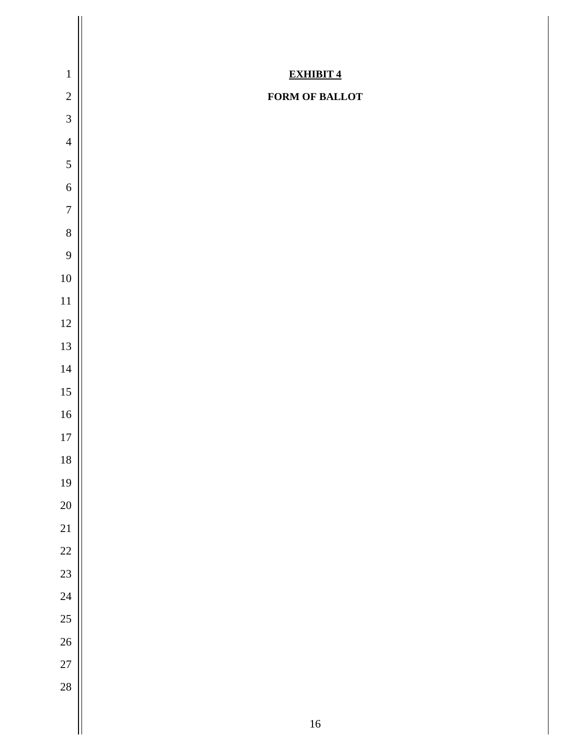| $\,1\,$         | <b>EXHIBIT 4</b> |
|-----------------|------------------|
| $\sqrt{2}$      | FORM OF BALLOT   |
| $\mathfrak{Z}$  |                  |
| $\overline{4}$  |                  |
| 5               |                  |
| $\sqrt{6}$      |                  |
| $\overline{7}$  |                  |
| $\,8\,$         |                  |
| 9               |                  |
| $10\,$          |                  |
| $11\,$          |                  |
| $12\,$          |                  |
| 13              |                  |
| $14\,$          |                  |
| $15\,$          |                  |
| $16\,$          |                  |
| $17\,$          |                  |
| $18\,$          |                  |
| 19              |                  |
| 20              |                  |
| 21              |                  |
| 22              |                  |
| 23              |                  |
| 24              |                  |
| 25              |                  |
| $26\phantom{.}$ |                  |
| 27              |                  |
| 28              |                  |
|                 | $16\,$           |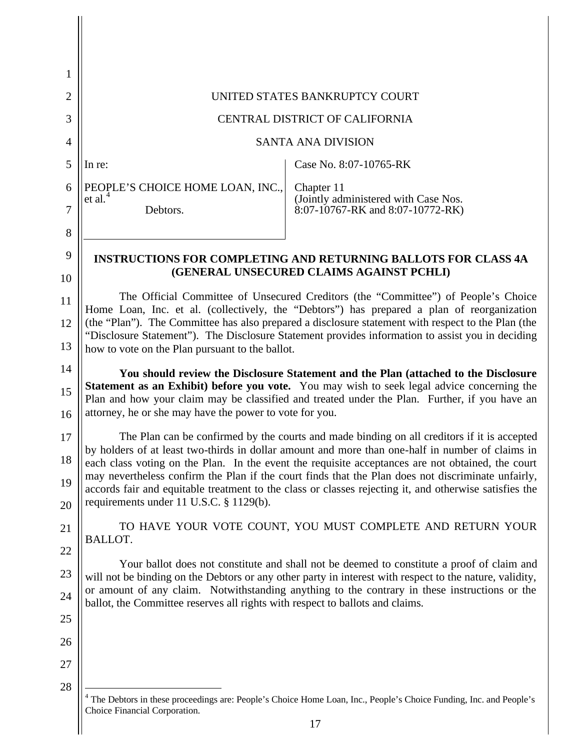| 1              |                                                                                                                                                                                                                                                                                        |                                                                                                                                                                                                              |  |  |
|----------------|----------------------------------------------------------------------------------------------------------------------------------------------------------------------------------------------------------------------------------------------------------------------------------------|--------------------------------------------------------------------------------------------------------------------------------------------------------------------------------------------------------------|--|--|
| $\overline{2}$ |                                                                                                                                                                                                                                                                                        | UNITED STATES BANKRUPTCY COURT                                                                                                                                                                               |  |  |
| 3              |                                                                                                                                                                                                                                                                                        | CENTRAL DISTRICT OF CALIFORNIA                                                                                                                                                                               |  |  |
| 4              |                                                                                                                                                                                                                                                                                        | <b>SANTA ANA DIVISION</b>                                                                                                                                                                                    |  |  |
| 5              | In re:                                                                                                                                                                                                                                                                                 | Case No. 8:07-10765-RK                                                                                                                                                                                       |  |  |
| 6              | PEOPLE'S CHOICE HOME LOAN, INC.,<br>et al. $4$                                                                                                                                                                                                                                         | Chapter 11                                                                                                                                                                                                   |  |  |
| 7              | Debtors.                                                                                                                                                                                                                                                                               | (Jointly administered with Case Nos.<br>8:07-10767-RK and 8:07-10772-RK)                                                                                                                                     |  |  |
| 8              |                                                                                                                                                                                                                                                                                        |                                                                                                                                                                                                              |  |  |
| 9              |                                                                                                                                                                                                                                                                                        | <b>INSTRUCTIONS FOR COMPLETING AND RETURNING BALLOTS FOR CLASS 4A</b>                                                                                                                                        |  |  |
| 10             |                                                                                                                                                                                                                                                                                        | (GENERAL UNSECURED CLAIMS AGAINST PCHLI)                                                                                                                                                                     |  |  |
| 11<br>12       | The Official Committee of Unsecured Creditors (the "Committee") of People's Choice<br>Home Loan, Inc. et al. (collectively, the "Debtors") has prepared a plan of reorganization<br>(the "Plan"). The Committee has also prepared a disclosure statement with respect to the Plan (the |                                                                                                                                                                                                              |  |  |
| 13             | how to vote on the Plan pursuant to the ballot.                                                                                                                                                                                                                                        | "Disclosure Statement"). The Disclosure Statement provides information to assist you in deciding                                                                                                             |  |  |
| 14             |                                                                                                                                                                                                                                                                                        | You should review the Disclosure Statement and the Plan (attached to the Disclosure                                                                                                                          |  |  |
| 15<br>16       | attorney, he or she may have the power to vote for you.                                                                                                                                                                                                                                | Statement as an Exhibit) before you vote. You may wish to seek legal advice concerning the<br>Plan and how your claim may be classified and treated under the Plan. Further, if you have an                  |  |  |
| 17             |                                                                                                                                                                                                                                                                                        | The Plan can be confirmed by the courts and made binding on all creditors if it is accepted                                                                                                                  |  |  |
| 18             |                                                                                                                                                                                                                                                                                        | by holders of at least two-thirds in dollar amount and more than one-half in number of claims in<br>each class voting on the Plan. In the event the requisite acceptances are not obtained, the court        |  |  |
| 19<br>20       | requirements under 11 U.S.C. § 1129(b).                                                                                                                                                                                                                                                | may nevertheless confirm the Plan if the court finds that the Plan does not discriminate unfairly,<br>accords fair and equitable treatment to the class or classes rejecting it, and otherwise satisfies the |  |  |
| 21             |                                                                                                                                                                                                                                                                                        | TO HAVE YOUR VOTE COUNT, YOU MUST COMPLETE AND RETURN YOUR                                                                                                                                                   |  |  |
| 22             | BALLOT.                                                                                                                                                                                                                                                                                |                                                                                                                                                                                                              |  |  |
| 23             |                                                                                                                                                                                                                                                                                        | Your ballot does not constitute and shall not be deemed to constitute a proof of claim and<br>will not be binding on the Debtors or any other party in interest with respect to the nature, validity,        |  |  |
| 24             |                                                                                                                                                                                                                                                                                        | or amount of any claim. Notwithstanding anything to the contrary in these instructions or the                                                                                                                |  |  |
| 25             | ballot, the Committee reserves all rights with respect to ballots and claims.                                                                                                                                                                                                          |                                                                                                                                                                                                              |  |  |
| 26             |                                                                                                                                                                                                                                                                                        |                                                                                                                                                                                                              |  |  |
| 27             |                                                                                                                                                                                                                                                                                        |                                                                                                                                                                                                              |  |  |
| 28             |                                                                                                                                                                                                                                                                                        |                                                                                                                                                                                                              |  |  |
|                | Choice Financial Corporation.                                                                                                                                                                                                                                                          | The Debtors in these proceedings are: People's Choice Home Loan, Inc., People's Choice Funding, Inc. and People's                                                                                            |  |  |
|                |                                                                                                                                                                                                                                                                                        | 17                                                                                                                                                                                                           |  |  |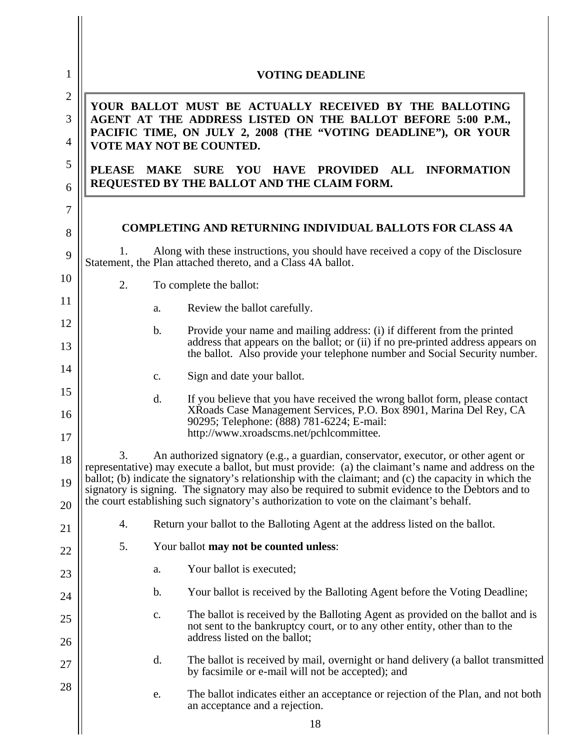| 1                                   |               | <b>VOTING DEADLINE</b>                                                                                                                                                                                                                                                                              |
|-------------------------------------|---------------|-----------------------------------------------------------------------------------------------------------------------------------------------------------------------------------------------------------------------------------------------------------------------------------------------------|
| $\mathbf{2}$<br>3<br>$\overline{4}$ |               | YOUR BALLOT MUST BE ACTUALLY RECEIVED BY THE BALLOTING<br>AGENT AT THE ADDRESS LISTED ON THE BALLOT BEFORE 5:00 P.M.,<br>PACIFIC TIME, ON JULY 2, 2008 (THE "VOTING DEADLINE"), OR YOUR<br>VOTE MAY NOT BE COUNTED.                                                                                 |
| 5<br>6                              | <b>PLEASE</b> | MAKE SURE YOU HAVE PROVIDED<br>$\mathbf{ALL}$<br><b>INFORMATION</b><br>REQUESTED BY THE BALLOT AND THE CLAIM FORM.                                                                                                                                                                                  |
| 7                                   |               |                                                                                                                                                                                                                                                                                                     |
| 8                                   |               | <b>COMPLETING AND RETURNING INDIVIDUAL BALLOTS FOR CLASS 4A</b>                                                                                                                                                                                                                                     |
| 9                                   | Ι.            | Along with these instructions, you should have received a copy of the Disclosure<br>Statement, the Plan attached thereto, and a Class 4A ballot.                                                                                                                                                    |
| 10                                  | 2.            | To complete the ballot:                                                                                                                                                                                                                                                                             |
| 11                                  |               | Review the ballot carefully.<br>a.                                                                                                                                                                                                                                                                  |
| 12<br>13                            |               | Provide your name and mailing address: (i) if different from the printed<br>$\mathbf b$ .<br>address that appears on the ballot; or (ii) if no pre-printed address appears on<br>the ballot. Also provide your telephone number and Social Security number.                                         |
| 14                                  |               | Sign and date your ballot.<br>c.                                                                                                                                                                                                                                                                    |
| 15<br>16                            |               | If you believe that you have received the wrong ballot form, please contact<br>d.<br>XRoads Case Management Services, P.O. Box 8901, Marina Del Rey, CA<br>90295; Telephone: (888) 781-6224; E-mail:                                                                                                |
| 17                                  |               | http://www.xroadscms.net/pchlcommittee.                                                                                                                                                                                                                                                             |
| 18<br>19                            | 3.            | An authorized signatory (e.g., a guardian, conservator, executor, or other agent or<br>representative) may execute a ballot, but must provide: (a) the claimant's name and address on the<br>ballot; (b) indicate the signatory's relationship with the claimant; and (c) the capacity in which the |
| 20                                  |               | signatory is signing. The signatory may also be required to submit evidence to the Debtors and to<br>the court establishing such signatory's authorization to vote on the claimant's behalf.                                                                                                        |
| 21                                  | 4.            | Return your ballot to the Balloting Agent at the address listed on the ballot.                                                                                                                                                                                                                      |
| 22                                  | 5.            | Your ballot may not be counted unless:                                                                                                                                                                                                                                                              |
| 23                                  |               | Your ballot is executed;<br>a.                                                                                                                                                                                                                                                                      |
| 24                                  |               | $\mathbf b$ .<br>Your ballot is received by the Balloting Agent before the Voting Deadline;                                                                                                                                                                                                         |
| 25<br>26                            |               | The ballot is received by the Balloting Agent as provided on the ballot and is<br>c.<br>not sent to the bankruptcy court, or to any other entity, other than to the<br>address listed on the ballot;                                                                                                |
| 27                                  |               | d.<br>The ballot is received by mail, overnight or hand delivery (a ballot transmitted<br>by facsimile or e-mail will not be accepted); and                                                                                                                                                         |
| 28                                  |               | The ballot indicates either an acceptance or rejection of the Plan, and not both<br>e.<br>an acceptance and a rejection.                                                                                                                                                                            |
|                                     |               | 18                                                                                                                                                                                                                                                                                                  |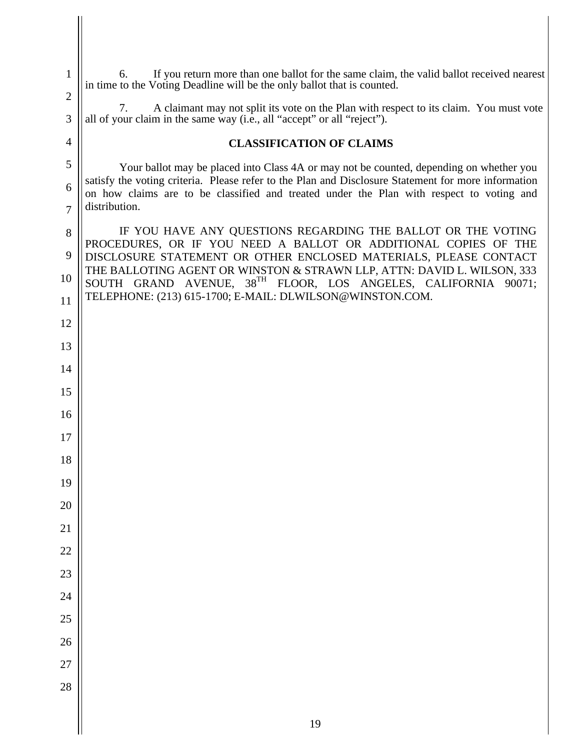| $\mathbf{1}$        | If you return more than one ballot for the same claim, the valid ballot received nearest<br>6.                                                                                                                   |
|---------------------|------------------------------------------------------------------------------------------------------------------------------------------------------------------------------------------------------------------|
| $\overline{2}$      | in time to the Voting Deadline will be the only ballot that is counted.                                                                                                                                          |
| 3                   | A claimant may not split its vote on the Plan with respect to its claim. You must vote<br>7.<br>all of your claim in the same way (i.e., all "accept" or all "reject").                                          |
| 4                   | <b>CLASSIFICATION OF CLAIMS</b>                                                                                                                                                                                  |
| 5                   | Your ballot may be placed into Class 4A or may not be counted, depending on whether you                                                                                                                          |
| 6<br>$\overline{7}$ | satisfy the voting criteria. Please refer to the Plan and Disclosure Statement for more information<br>on how claims are to be classified and treated under the Plan with respect to voting and<br>distribution. |
| 8                   | IF YOU HAVE ANY QUESTIONS REGARDING THE BALLOT OR THE VOTING                                                                                                                                                     |
| 9                   | PROCEDURES, OR IF YOU NEED A BALLOT OR ADDITIONAL COPIES OF THE<br>DISCLOSURE STATEMENT OR OTHER ENCLOSED MATERIALS, PLEASE CONTACT                                                                              |
| 10                  | THE BALLOTING AGENT OR WINSTON & STRAWN LLP, ATTN: DAVID L. WILSON, 333<br>SOUTH GRAND AVENUE, 38TH FLOOR, LOS ANGELES, CALIFORNIA 90071;                                                                        |
| 11                  | TELEPHONE: (213) 615-1700; E-MAIL: DLWILSON@WINSTON.COM.                                                                                                                                                         |
| 12                  |                                                                                                                                                                                                                  |
| 13                  |                                                                                                                                                                                                                  |
| 14                  |                                                                                                                                                                                                                  |
| 15                  |                                                                                                                                                                                                                  |
| 16                  |                                                                                                                                                                                                                  |
| 17                  |                                                                                                                                                                                                                  |
| 18                  |                                                                                                                                                                                                                  |
| 19                  |                                                                                                                                                                                                                  |
| 20                  |                                                                                                                                                                                                                  |
| 21                  |                                                                                                                                                                                                                  |
| 22                  |                                                                                                                                                                                                                  |
| 23                  |                                                                                                                                                                                                                  |
| 24<br>25            |                                                                                                                                                                                                                  |
| 26                  |                                                                                                                                                                                                                  |
| 27                  |                                                                                                                                                                                                                  |
| 28                  |                                                                                                                                                                                                                  |
|                     |                                                                                                                                                                                                                  |
|                     | 19                                                                                                                                                                                                               |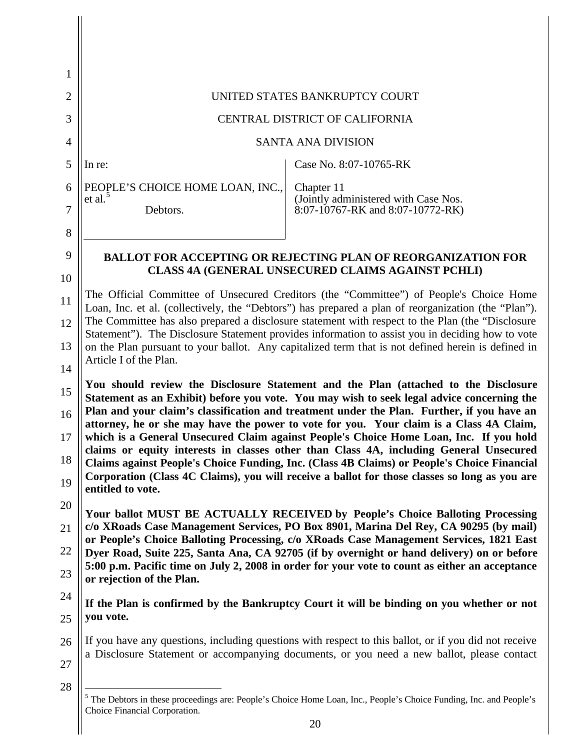| 1        |                                                |                                                                                                                                                                                                                                                                                                                                                                            |
|----------|------------------------------------------------|----------------------------------------------------------------------------------------------------------------------------------------------------------------------------------------------------------------------------------------------------------------------------------------------------------------------------------------------------------------------------|
| 2        |                                                | UNITED STATES BANKRUPTCY COURT                                                                                                                                                                                                                                                                                                                                             |
| 3        |                                                | CENTRAL DISTRICT OF CALIFORNIA                                                                                                                                                                                                                                                                                                                                             |
| 4        |                                                | <b>SANTA ANA DIVISION</b>                                                                                                                                                                                                                                                                                                                                                  |
| 5        | In re:                                         | Case No. 8:07-10765-RK                                                                                                                                                                                                                                                                                                                                                     |
| 6        | PEOPLE'S CHOICE HOME LOAN, INC.,<br>et al. $5$ | Chapter 11                                                                                                                                                                                                                                                                                                                                                                 |
| 7        | Debtors.                                       | (Jointly administered with Case Nos.<br>8:07-10767-RK and 8:07-10772-RK)                                                                                                                                                                                                                                                                                                   |
| 8        |                                                |                                                                                                                                                                                                                                                                                                                                                                            |
| 9        |                                                | <b>BALLOT FOR ACCEPTING OR REJECTING PLAN OF REORGANIZATION FOR</b>                                                                                                                                                                                                                                                                                                        |
| 10       |                                                | CLASS 4A (GENERAL UNSECURED CLAIMS AGAINST PCHLI)                                                                                                                                                                                                                                                                                                                          |
| 11       |                                                | The Official Committee of Unsecured Creditors (the "Committee") of People's Choice Home<br>Loan, Inc. et al. (collectively, the "Debtors") has prepared a plan of reorganization (the "Plan").                                                                                                                                                                             |
| 12       |                                                | The Committee has also prepared a disclosure statement with respect to the Plan (the "Disclosure<br>Statement"). The Disclosure Statement provides information to assist you in deciding how to vote                                                                                                                                                                       |
| 13<br>14 | Article I of the Plan.                         | on the Plan pursuant to your ballot. Any capitalized term that is not defined herein is defined in                                                                                                                                                                                                                                                                         |
|          |                                                |                                                                                                                                                                                                                                                                                                                                                                            |
| 15<br>16 |                                                | You should review the Disclosure Statement and the Plan (attached to the Disclosure<br>Statement as an Exhibit) before you vote. You may wish to seek legal advice concerning the<br>Plan and your claim's classification and treatment under the Plan. Further, if you have an<br>attorney, he or she may have the power to vote for you. Your claim is a Class 4A Claim, |
| 17<br>18 |                                                | which is a General Unsecured Claim against People's Choice Home Loan, Inc. If you hold<br>claims or equity interests in classes other than Class 4A, including General Unsecured<br>Claims against People's Choice Funding, Inc. (Class 4B Claims) or People's Choice Financial                                                                                            |
| 19       | entitled to vote.                              | Corporation (Class 4C Claims), you will receive a ballot for those classes so long as you are                                                                                                                                                                                                                                                                              |
| 20       |                                                | Your ballot MUST BE ACTUALLY RECEIVED by People's Choice Balloting Processing                                                                                                                                                                                                                                                                                              |
| 21       |                                                | c/o XRoads Case Management Services, PO Box 8901, Marina Del Rey, CA 90295 (by mail)<br>or People's Choice Balloting Processing, c/o XRoads Case Management Services, 1821 East                                                                                                                                                                                            |
| 22<br>23 |                                                | Dyer Road, Suite 225, Santa Ana, CA 92705 (if by overnight or hand delivery) on or before<br>5:00 p.m. Pacific time on July 2, 2008 in order for your vote to count as either an acceptance                                                                                                                                                                                |
|          | or rejection of the Plan.                      |                                                                                                                                                                                                                                                                                                                                                                            |
| 24<br>25 | you vote.                                      | If the Plan is confirmed by the Bankruptcy Court it will be binding on you whether or not                                                                                                                                                                                                                                                                                  |
| 26       |                                                | If you have any questions, including questions with respect to this ballot, or if you did not receive                                                                                                                                                                                                                                                                      |
| 27       |                                                | a Disclosure Statement or accompanying documents, or you need a new ballot, please contact                                                                                                                                                                                                                                                                                 |

Choice Financial Corporation.

 $\overline{\phantom{a}}$  $\mathsf{I}$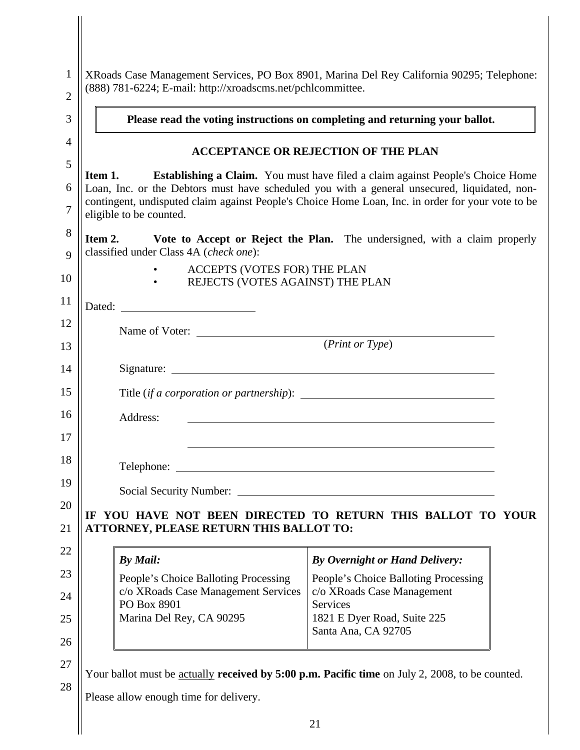| $\mathbf{1}$<br>$\overline{2}$ | (888) 781-6224; E-mail: http://xroadscms.net/pchlcommittee.                                     | XRoads Case Management Services, PO Box 8901, Marina Del Rey California 90295; Telephone:                                                                                                                                                                                                  |
|--------------------------------|-------------------------------------------------------------------------------------------------|--------------------------------------------------------------------------------------------------------------------------------------------------------------------------------------------------------------------------------------------------------------------------------------------|
| 3                              |                                                                                                 | Please read the voting instructions on completing and returning your ballot.                                                                                                                                                                                                               |
| 4                              |                                                                                                 | <b>ACCEPTANCE OR REJECTION OF THE PLAN</b>                                                                                                                                                                                                                                                 |
| 5<br>6<br>7                    | Item 1.                                                                                         | <b>Establishing a Claim.</b> You must have filed a claim against People's Choice Home<br>Loan, Inc. or the Debtors must have scheduled you with a general unsecured, liquidated, non-<br>contingent, undisputed claim against People's Choice Home Loan, Inc. in order for your vote to be |
| 8<br>9                         | eligible to be counted.<br>Item 2.<br>classified under Class 4A (check one):                    | Vote to Accept or Reject the Plan. The undersigned, with a claim properly                                                                                                                                                                                                                  |
| 10                             | ACCEPTS (VOTES FOR) THE PLAN<br>• REJECTS (VOTES AGAINST) THE PLAN                              |                                                                                                                                                                                                                                                                                            |
| 11                             |                                                                                                 |                                                                                                                                                                                                                                                                                            |
| 12<br>13                       | Name of Voter: ( <i>Print or Type</i> )                                                         |                                                                                                                                                                                                                                                                                            |
| 14                             |                                                                                                 |                                                                                                                                                                                                                                                                                            |
| 15                             |                                                                                                 |                                                                                                                                                                                                                                                                                            |
| 16                             | Address:                                                                                        | <u> 1989 - Johann Harry Harry Harry Harry Harry Harry Harry Harry Harry Harry Harry Harry Harry Harry Harry Harry</u>                                                                                                                                                                      |
| 17                             |                                                                                                 |                                                                                                                                                                                                                                                                                            |
| 18                             |                                                                                                 |                                                                                                                                                                                                                                                                                            |
| 19                             | Social Security Number: Social Security Number:                                                 |                                                                                                                                                                                                                                                                                            |
| 20                             |                                                                                                 | IF YOU HAVE NOT BEEN DIRECTED TO RETURN THIS BALLOT TO YOUR                                                                                                                                                                                                                                |
| 21                             | <b>ATTORNEY, PLEASE RETURN THIS BALLOT TO:</b>                                                  |                                                                                                                                                                                                                                                                                            |
| 22                             | By Mail:                                                                                        | <b>By Overnight or Hand Delivery:</b>                                                                                                                                                                                                                                                      |
| 23                             | People's Choice Balloting Processing<br>c/o XRoads Case Management Services                     | People's Choice Balloting Processing<br>c/o XRoads Case Management                                                                                                                                                                                                                         |
| 24                             | PO Box 8901                                                                                     | Services                                                                                                                                                                                                                                                                                   |
| 25                             | Marina Del Rey, CA 90295                                                                        | 1821 E Dyer Road, Suite 225<br>Santa Ana, CA 92705                                                                                                                                                                                                                                         |
|                                |                                                                                                 |                                                                                                                                                                                                                                                                                            |
| 26                             |                                                                                                 |                                                                                                                                                                                                                                                                                            |
| 27                             | Your ballot must be actually received by 5:00 p.m. Pacific time on July 2, 2008, to be counted. |                                                                                                                                                                                                                                                                                            |
| 28                             | Please allow enough time for delivery.                                                          |                                                                                                                                                                                                                                                                                            |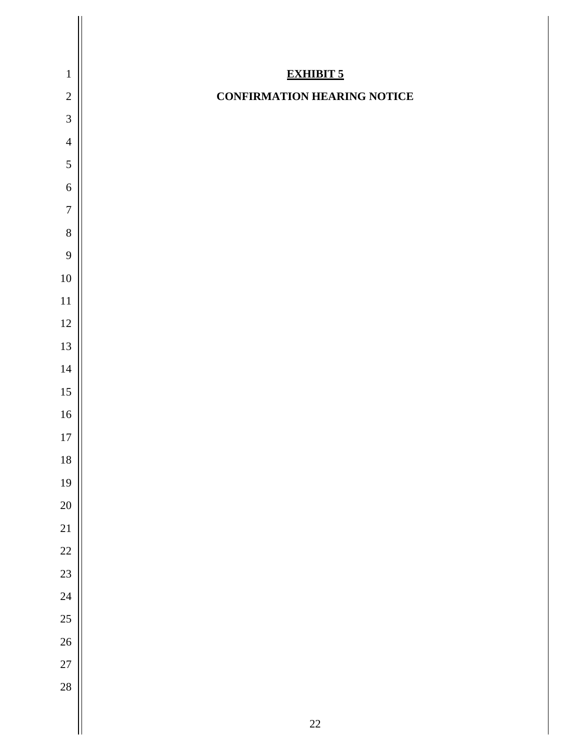| $\,1\,$        | <b>EXHIBIT 5</b>                   |
|----------------|------------------------------------|
| $\overline{2}$ | <b>CONFIRMATION HEARING NOTICE</b> |
| $\overline{3}$ |                                    |
| $\overline{4}$ |                                    |
| 5              |                                    |
| $\sqrt{6}$     |                                    |
| $\overline{7}$ |                                    |
| 8              |                                    |
| 9              |                                    |
| $10\,$         |                                    |
| 11             |                                    |
| 12             |                                    |
| 13             |                                    |
| $14$           |                                    |
| 15             |                                    |
| $16\,$         |                                    |
| $17\,$         |                                    |
| 18             |                                    |
| 19             |                                    |
| 20             |                                    |
| 21             |                                    |
| 22             |                                    |
| 23             |                                    |
| 24             |                                    |
| 25             |                                    |
| 26             |                                    |
| 27             |                                    |
| 28             |                                    |
|                | $22\,$                             |
|                |                                    |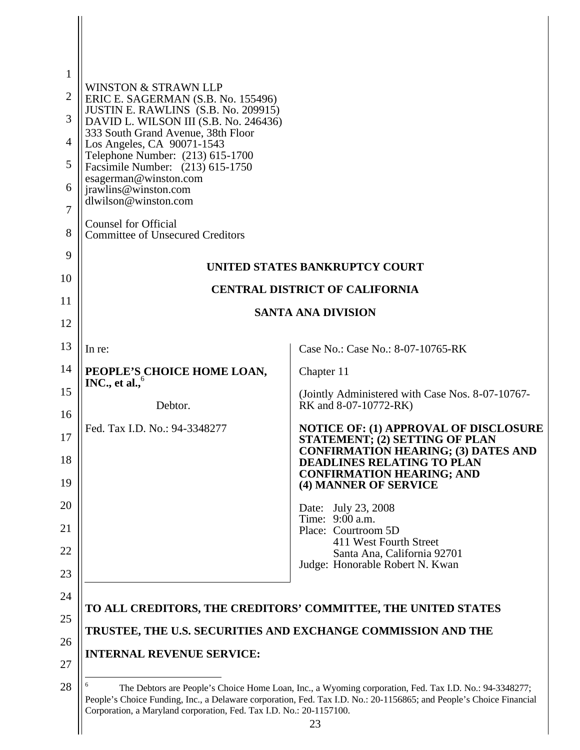| $\mathbf{1}$<br>$\overline{2}$<br>3<br>4<br>5<br>6<br>7<br>8 | <b>WINSTON &amp; STRAWN LLP</b><br>ERIC E. SAGERMAN (S.B. No. 155496)<br>JUSTIN E. RAWLINS (S.B. No. 209915)<br>DAVID L. WILSON III (S.B. No. 246436)<br>333 South Grand Avenue, 38th Floor<br>Los Angeles, CA 90071-1543<br>Telephone Number: (213) 615-1700<br>Facsimile Number: (213) 615-1750<br>esagerman@winston.com<br>jrawlins@winston.com<br>dlwilson@winston.com<br><b>Counsel for Official</b><br><b>Committee of Unsecured Creditors</b> |                                                                                                                                                                                                                               |
|--------------------------------------------------------------|------------------------------------------------------------------------------------------------------------------------------------------------------------------------------------------------------------------------------------------------------------------------------------------------------------------------------------------------------------------------------------------------------------------------------------------------------|-------------------------------------------------------------------------------------------------------------------------------------------------------------------------------------------------------------------------------|
| 9                                                            |                                                                                                                                                                                                                                                                                                                                                                                                                                                      |                                                                                                                                                                                                                               |
| 10                                                           |                                                                                                                                                                                                                                                                                                                                                                                                                                                      | UNITED STATES BANKRUPTCY COURT                                                                                                                                                                                                |
| 11                                                           |                                                                                                                                                                                                                                                                                                                                                                                                                                                      | <b>CENTRAL DISTRICT OF CALIFORNIA</b>                                                                                                                                                                                         |
| 12                                                           |                                                                                                                                                                                                                                                                                                                                                                                                                                                      | <b>SANTA ANA DIVISION</b>                                                                                                                                                                                                     |
| 13                                                           | In re:                                                                                                                                                                                                                                                                                                                                                                                                                                               | Case No.: Case No.: 8-07-10765-RK                                                                                                                                                                                             |
| 14                                                           | PEOPLE'S CHOICE HOME LOAN,<br>INC., et al., $6$                                                                                                                                                                                                                                                                                                                                                                                                      | Chapter 11                                                                                                                                                                                                                    |
| 15                                                           | Debtor.                                                                                                                                                                                                                                                                                                                                                                                                                                              | (Jointly Administered with Case Nos. 8-07-10767-<br>RK and 8-07-10772-RK)                                                                                                                                                     |
| 16                                                           | Fed. Tax I.D. No.: 94-3348277                                                                                                                                                                                                                                                                                                                                                                                                                        | <b>NOTICE OF: (1) APPROVAL OF DISCLOSURE</b>                                                                                                                                                                                  |
| 17<br>18                                                     |                                                                                                                                                                                                                                                                                                                                                                                                                                                      | STATEMENT; (2) SETTING OF PLAN<br><b>CONFIRMATION HEARING; (3) DATES AND</b><br><b>DEADLINES RELATING TO PLAN</b><br><b>CONFIRMATION HEARING; AND</b>                                                                         |
| 19                                                           |                                                                                                                                                                                                                                                                                                                                                                                                                                                      | (4) MANNER OF SERVICE                                                                                                                                                                                                         |
| 20                                                           |                                                                                                                                                                                                                                                                                                                                                                                                                                                      | Date: July 23, 2008<br>Time: 9:00 a.m.                                                                                                                                                                                        |
| 21<br>22                                                     |                                                                                                                                                                                                                                                                                                                                                                                                                                                      | Place: Courtroom 5D<br>411 West Fourth Street                                                                                                                                                                                 |
| 23                                                           |                                                                                                                                                                                                                                                                                                                                                                                                                                                      | Santa Ana, California 92701<br>Judge: Honorable Robert N. Kwan                                                                                                                                                                |
| 24                                                           |                                                                                                                                                                                                                                                                                                                                                                                                                                                      |                                                                                                                                                                                                                               |
| 25                                                           |                                                                                                                                                                                                                                                                                                                                                                                                                                                      | TO ALL CREDITORS, THE CREDITORS' COMMITTEE, THE UNITED STATES                                                                                                                                                                 |
| 26                                                           |                                                                                                                                                                                                                                                                                                                                                                                                                                                      | TRUSTEE, THE U.S. SECURITIES AND EXCHANGE COMMISSION AND THE                                                                                                                                                                  |
| 27                                                           | <b>INTERNAL REVENUE SERVICE:</b>                                                                                                                                                                                                                                                                                                                                                                                                                     |                                                                                                                                                                                                                               |
| 28                                                           |                                                                                                                                                                                                                                                                                                                                                                                                                                                      | The Debtors are People's Choice Home Loan, Inc., a Wyoming corporation, Fed. Tax I.D. No.: 94-3348277;<br>People's Choice Funding, Inc., a Delaware corporation, Fed. Tax I.D. No.: 20-1156865; and People's Choice Financial |

 $\mathsf{I}$ 

Corporation, a Maryland corporation, Fed. Tax I.D. No.: 20-1157100.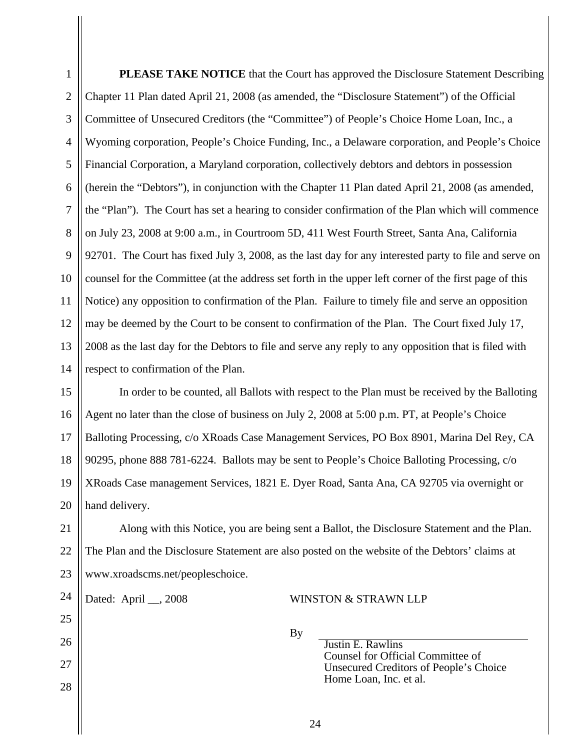2 3 4 5 6 7 8 9 10 11 12 13 14 15 16 17 18 19 20 21 22 23 24 25 26 27 28 24 Chapter 11 Plan dated April 21, 2008 (as amended, the "Disclosure Statement") of the Official Committee of Unsecured Creditors (the "Committee") of People's Choice Home Loan, Inc., a Wyoming corporation, People's Choice Funding, Inc., a Delaware corporation, and People's Choice Financial Corporation, a Maryland corporation, collectively debtors and debtors in possession (herein the "Debtors"), in conjunction with the Chapter 11 Plan dated April 21, 2008 (as amended, the "Plan"). The Court has set a hearing to consider confirmation of the Plan which will commence on July 23, 2008 at 9:00 a.m., in Courtroom 5D, 411 West Fourth Street, Santa Ana, California 92701. The Court has fixed July 3, 2008, as the last day for any interested party to file and serve on counsel for the Committee (at the address set forth in the upper left corner of the first page of this Notice) any opposition to confirmation of the Plan. Failure to timely file and serve an opposition may be deemed by the Court to be consent to confirmation of the Plan. The Court fixed July 17, 2008 as the last day for the Debtors to file and serve any reply to any opposition that is filed with respect to confirmation of the Plan. In order to be counted, all Ballots with respect to the Plan must be received by the Balloting Agent no later than the close of business on July 2, 2008 at 5:00 p.m. PT, at People's Choice Balloting Processing, c/o XRoads Case Management Services, PO Box 8901, Marina Del Rey, CA 90295, phone 888 781-6224. Ballots may be sent to People's Choice Balloting Processing, c/o XRoads Case management Services, 1821 E. Dyer Road, Santa Ana, CA 92705 via overnight or hand delivery. Along with this Notice, you are being sent a Ballot, the Disclosure Statement and the Plan. The Plan and the Disclosure Statement are also posted on the website of the Debtors' claims at www.xroadscms.net/peopleschoice. Dated: April \_\_, 2008 WINSTON & STRAWN LLP By Justin E. Rawlins Counsel for Official Committee of Unsecured Creditors of People's Choice Home Loan, Inc. et al.

1

**PLEASE TAKE NOTICE** that the Court has approved the Disclosure Statement Describing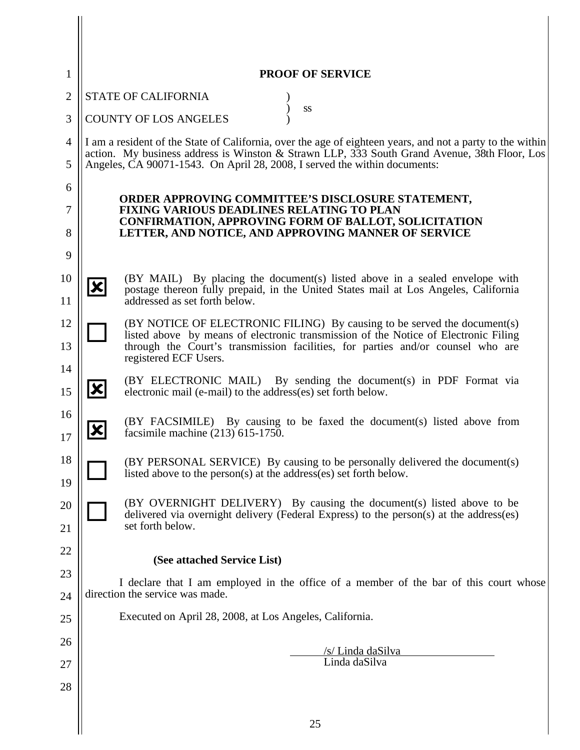| 1              | <b>PROOF OF SERVICE</b>                                                                                                                                                                                   |
|----------------|-----------------------------------------------------------------------------------------------------------------------------------------------------------------------------------------------------------|
| $\overline{2}$ | <b>STATE OF CALIFORNIA</b><br>SS                                                                                                                                                                          |
| 3              | <b>COUNTY OF LOS ANGELES</b>                                                                                                                                                                              |
| $\overline{4}$ | I am a resident of the State of California, over the age of eighteen years, and not a party to the within<br>action. My business address is Winston & Strawn LLP, 333 South Grand Avenue, 38th Floor, Los |
| 5              | Angeles, CA 90071-1543. On April 28, 2008, I served the within documents:                                                                                                                                 |
| 6              | ORDER APPROVING COMMITTEE'S DISCLOSURE STATEMENT,                                                                                                                                                         |
| 7              | FIXING VARIOUS DEADLINES RELATING TO PLAN                                                                                                                                                                 |
| 8              | <b>CONFIRMATION, APPROVING FORM OF BALLOT, SOLICITATION</b><br>LETTER, AND NOTICE, AND APPROVING MANNER OF SERVICE                                                                                        |
| 9              |                                                                                                                                                                                                           |
| 10             | (BY MAIL) By placing the document(s) listed above in a sealed envelope with<br>$\vert\mathbf{x}\vert$                                                                                                     |
| 11             | postage thereon fully prepaid, in the United States mail at Los Angeles, California<br>addressed as set forth below.                                                                                      |
| 12             | (BY NOTICE OF ELECTRONIC FILING) By causing to be served the document(s)                                                                                                                                  |
| 13             | listed above by means of electronic transmission of the Notice of Electronic Filing<br>through the Court's transmission facilities, for parties and/or counsel who are                                    |
| 14             | registered ECF Users.                                                                                                                                                                                     |
| 15             | (BY ELECTRONIC MAIL) By sending the document(s) in PDF Format via<br>$ \mathbf{x} $<br>electronic mail (e-mail) to the address(es) set forth below.                                                       |
| 16<br>17       | (BY FACSIMILE) By causing to be faxed the document(s) listed above from<br>X<br>facsimile machine $(213)$ 615-1750.                                                                                       |
| 18<br>19       | (BY PERSONAL SERVICE) By causing to be personally delivered the document(s)<br>listed above to the person(s) at the address(es) set forth below.                                                          |
| 20             | (BY OVERNIGHT DELIVERY) By causing the document(s) listed above to be                                                                                                                                     |
| 21             | delivered via overnight delivery (Federal Express) to the person(s) at the address(es)<br>set forth below.                                                                                                |
| 22             | (See attached Service List)                                                                                                                                                                               |
| 23             | I declare that I am employed in the office of a member of the bar of this court whose                                                                                                                     |
| 24             | direction the service was made.                                                                                                                                                                           |
| 25             | Executed on April 28, 2008, at Los Angeles, California.                                                                                                                                                   |
| 26             | /s/ Linda daSilva                                                                                                                                                                                         |
| 27             | Linda daSilva                                                                                                                                                                                             |
| 28             |                                                                                                                                                                                                           |
|                | 25                                                                                                                                                                                                        |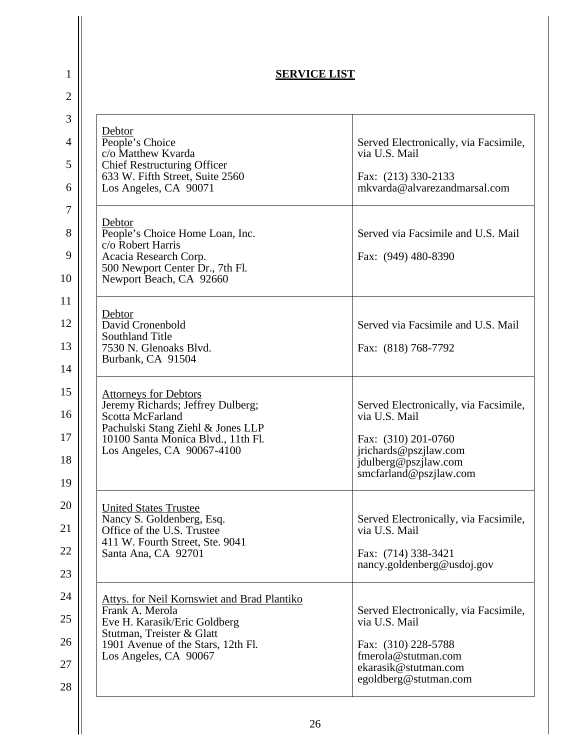| <b>SERVICE LIST</b>                                                                                                                                                                               |                                                                                                                                                          |  |
|---------------------------------------------------------------------------------------------------------------------------------------------------------------------------------------------------|----------------------------------------------------------------------------------------------------------------------------------------------------------|--|
| Debtor<br>People's Choice<br>c/o Matthew Kvarda<br><b>Chief Restructuring Officer</b><br>633 W. Fifth Street, Suite 2560<br>Los Angeles, CA 90071                                                 | Served Electronically, via Facsimile,<br>via U.S. Mail<br>Fax: (213) 330-2133<br>mkvarda@alvarezandmarsal.com                                            |  |
| Debtor<br>People's Choice Home Loan, Inc.<br>c/o Robert Harris<br>Acacia Research Corp.<br>500 Newport Center Dr., 7th Fl.<br>Newport Beach, CA 92660                                             | Served via Facsimile and U.S. Mail<br>Fax: (949) 480-8390                                                                                                |  |
| Debtor<br>David Cronenbold<br><b>Southland Title</b><br>7530 N. Glenoaks Blvd.<br>Burbank, CA 91504                                                                                               | Served via Facsimile and U.S. Mail<br>Fax: (818) 768-7792                                                                                                |  |
| <b>Attorneys for Debtors</b><br>Jeremy Richards; Jeffrey Dulberg;<br>Scotta McFarland<br>Pachulski Stang Ziehl & Jones LLP<br>10100 Santa Monica Blvd., 11th Fl.<br>Los Angeles, CA 90067-4100    | Served Electronically, via Facsimile,<br>via U.S. Mail<br>Fax: (310) 201-0760<br>jrichards@pszjlaw.com<br>jdulberg@pszjlaw.com<br>smcfarland@pszilaw.com |  |
| <b>United States Trustee</b><br>Nancy S. Goldenberg, Esq.<br>Office of the U.S. Trustee<br>411 W. Fourth Street, Ste. 9041<br>Santa Ana, CA 92701                                                 | Served Electronically, via Facsimile,<br>via U.S. Mail<br>Fax: (714) 338-3421<br>nancy.goldenberg@usdoj.gov                                              |  |
| <b>Attys. for Neil Kornswiet and Brad Plantiko</b><br>Frank A. Merola<br>Eve H. Karasik/Eric Goldberg<br>Stutman, Treister & Glatt<br>1901 Avenue of the Stars, 12th Fl.<br>Los Angeles, CA 90067 | Served Electronically, via Facsimile,<br>via U.S. Mail<br>Fax: (310) 228-5788<br>fmerola@stutman.com<br>ekarasik@stutman.com<br>egoldberg@stutman.com    |  |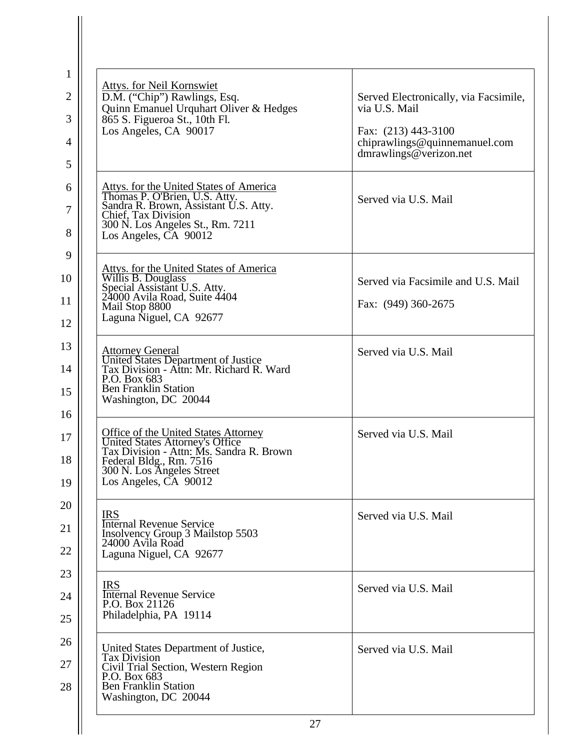| <b>Attys. for Neil Kornswiet</b><br>D.M. ("Chip") Rawlings, Esq.                                                                                                                                            | Served Electronically, via Facsimile,                                                           |
|-------------------------------------------------------------------------------------------------------------------------------------------------------------------------------------------------------------|-------------------------------------------------------------------------------------------------|
| Quinn Emanuel Urquhart Oliver & Hedges<br>865 S. Figueroa St., 10th Fl.<br>Los Angeles, CA 90017                                                                                                            | via U.S. Mail<br>Fax: (213) 443-3100<br>chiprawlings@quinnemanuel.com<br>dmrawlings@verizon.net |
| Attys. for the United States of America<br>Thomas P. O'Brien, U.S. Atty.<br>Sandra R. Brown, Assistant U.S. Atty.<br>Chief, Tax Division<br>300 N. Los Angeles St., Rm. 7211<br>Los Angeles, CA 90012       | Served via U.S. Mail                                                                            |
| Attys. for the United States of America<br>Willis B. Douglass                                                                                                                                               | Served via Facsimile and U.S. Mail                                                              |
| Special Assistant U.S. Atty.<br>24000 Avila Road, Suite 4404<br>Mail Stop 8800<br>Laguna Niguel, CA 92677                                                                                                   | Fax: (949) 360-2675                                                                             |
| Attorney General<br>United States Department of Justice<br>Tax Division - Attn: Mr. Richard R. Ward<br>P.O. Box 683<br><b>Ben Franklin Station</b><br>Washington, DC 20044                                  | Served via U.S. Mail                                                                            |
| <b>Office of the United States Attorney</b><br>United States Attorney's Office<br>Tax Division - Attn: Ms. Sandra R. Brown<br>Federal Bldg., Rm. 7516<br>300 N. Los Angeles Street<br>Los Angeles, CA 90012 | Served via U.S. Mail                                                                            |
| <b>IRS</b><br><b>Internal Revenue Service</b><br>Insolvency Group 3 Mailstop 5503<br>24000 Avila Road<br>Laguna Niguel, CA 92677                                                                            | Served via U.S. Mail                                                                            |
| <b>IRS</b><br><b>Internal Revenue Service</b><br>P.O. Box 21126<br>Philadelphia, PA 19114                                                                                                                   | Served via U.S. Mail                                                                            |
| United States Department of Justice,<br><b>Tax Division</b><br>Civil Trial Section, Western Region<br>P.O. Box 683<br><b>Ben Franklin Station</b><br>Washington, DC 20044                                   | Served via U.S. Mail                                                                            |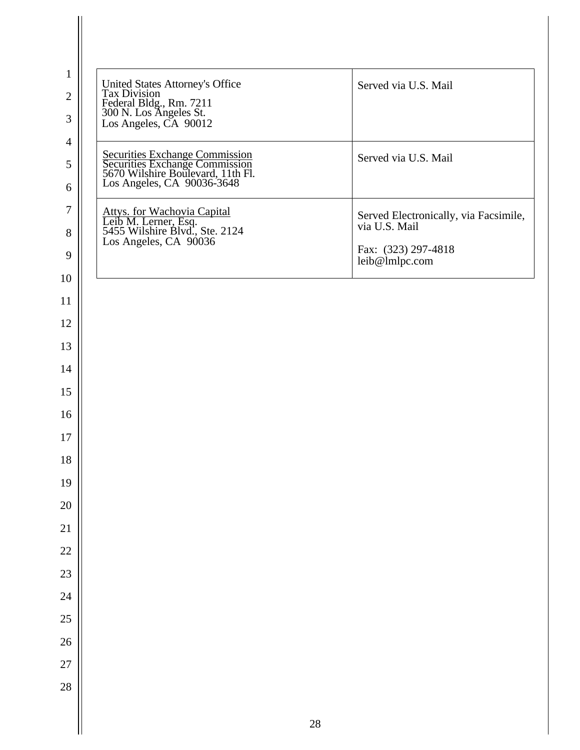| United States Attorney's Office<br>Tax Division<br>Federal Bldg., Rm. 7211<br>300 N. Los Angeles St.<br>Los Angeles, CA 90012       | Served via U.S. Mail                                   |
|-------------------------------------------------------------------------------------------------------------------------------------|--------------------------------------------------------|
| Securities Exchange Commission<br>Securities Exchange Commission<br>5670 Wilshire Boulevard, 11th Fl.<br>Los Angeles, CA 90036-3648 | Served via U.S. Mail                                   |
| Attys. for Wachovia Capital<br>Leib M. Lerner, Esq.<br>5455 Wilshire Blvd., Ste. 2124<br>Los Angeles, CA 90036                      | Served Electronically, via Facsimile,<br>via U.S. Mail |
|                                                                                                                                     | Fax: (323) 297-4818<br>leib@lmlpc.com                  |
|                                                                                                                                     |                                                        |
|                                                                                                                                     |                                                        |
|                                                                                                                                     |                                                        |
|                                                                                                                                     |                                                        |
|                                                                                                                                     |                                                        |
|                                                                                                                                     |                                                        |
|                                                                                                                                     |                                                        |
|                                                                                                                                     |                                                        |
|                                                                                                                                     |                                                        |
|                                                                                                                                     |                                                        |
|                                                                                                                                     |                                                        |
|                                                                                                                                     |                                                        |
|                                                                                                                                     |                                                        |
|                                                                                                                                     |                                                        |
|                                                                                                                                     |                                                        |
|                                                                                                                                     |                                                        |
|                                                                                                                                     |                                                        |